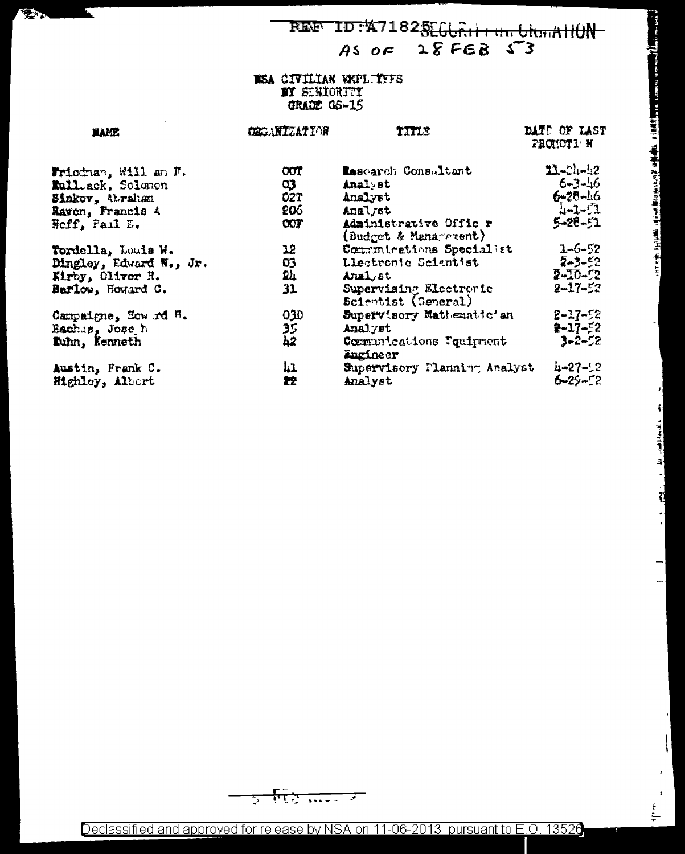REF ID:471825EGURII1 111 UNIAHUN  $28FGB 53$  $ASOF$ 

Ŕ

e kirin de belijk mei de bestieden een 20 dijk ofte is die Afrikaanse van de bestieden.

ومود المقابلة المعامل المستقبل المنازل والمراج

ا<br>الا

 $\frac{1}{1}$ 

#### ISA CIVILIAN WOLTFFS BY SENIORITY **GRADE GS-15**

Е

**Tara** 

| <b>HAME</b>             | CEGANIZATION    | TITLE                                           | DATE OF LAST<br>PROMOTI N |
|-------------------------|-----------------|-------------------------------------------------|---------------------------|
| Friedman, Will am F.    | $\overline{00}$ | Research Consultant                             | $11 - 51 - 42$            |
| Kull.ack, Solonon       | Q3              | Analyst                                         | $6 - 3 - 16$              |
| Sinkov, Abraham         | 02T             | Analyst                                         | $6 - 28 - 16$             |
| Ravon, Francis 4        | 206             | Analyst                                         | $1 - 1 - 1$               |
| Heff, Pail E.           | CCT             | Administrative Offic r<br>(Budget & Management) | $5 - 28 - 51$             |
| Tordella, Louis W.      | 12              | Communications Specialist                       | $1 - 6 - 52$              |
| Dingley, Edward N., Jr. | 03              | Llectronic Scientist                            | $2 - 52$                  |
| Kirby, Oliver R.        | 24              | Anal st                                         | $2 - 10 - 2$              |
| Barlow, Howard C.       | 31              | Supervising Electronic<br>Scientist (General)   | $2 - 17 - 52$             |
| Campaigne, How rd H.    | 030             | Supervisory Mathematic'an                       | $2 - 17 - 52$             |
| Eachas, Jose h          | 35              | Analyst                                         | $2 - 17 - 52$             |
| Tuhn, Kenneth           | 42              | Communications Poulpment<br>Engineer            | $3 - 2 - 52$              |
| Austin, Frank C.        | 1،1             | Supervisory Planning Analyst                    | $4 - 27 - 2$              |
| Highley, Albert         | 22              | Analyst                                         | $6 - 29 - 22$             |

ᠮᡝᡶᢆ  $\overline{\cdots}$ ⇁ 5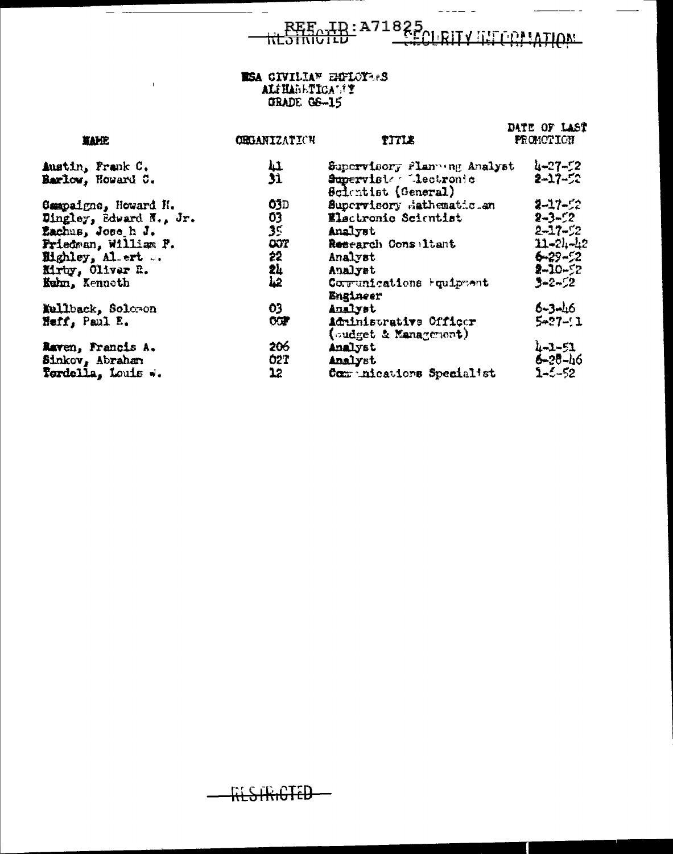REE ID:A71825<br>RESIRICTED CECLRITY INTERNATION

 $\perp$   $\perp$   $\perp$   $\perp$   $\perp$ 

 $-$ 

 $\overline{\phantom{a}}$ 

# **ESA CIVILLAN EMPLOYERS**<br> **ALTHABETICALTY**<br>
GRADE GS-15

 $-$ 

 $\frac{1}{2} \int_{0}^{2\pi} \frac{1}{2} \, dx = \frac{1}{2} \int_{0}^{2\pi} \frac{1}{2} \, dx = \frac{1}{2} \int_{0}^{2\pi} \frac{1}{2} \, dx = \frac{1}{2} \int_{0}^{2\pi} \frac{1}{2} \, dx = \frac{1}{2} \int_{0}^{2\pi} \frac{1}{2} \, dx = \frac{1}{2} \int_{0}^{2\pi} \frac{1}{2} \, dx = \frac{1}{2} \int_{0}^{2\pi} \frac{1}{2} \, dx = \frac{1}{2} \int_{0}^{2\pi} \frac{1}{2}$ 

 $\bar{1}$ 

| <b>XAME</b>             | <b>OBGANIZATICH</b> | TITLE                                              | DATE OF LAST<br>PRONOTION |
|-------------------------|---------------------|----------------------------------------------------|---------------------------|
| Austin, Frank C.        |                     | Supervisory Planning Analyst                       | $4 - 27 - 52$             |
| Barlow, Howard C.       | 41<br>31            | Supervisie Lectronic<br><b>Scientist (General)</b> | 2-17-52                   |
| Campaigne, Howard H.    | <b>O3D</b>          | Supervisory Hathematic an                          | $2 - 17 - 2$              |
| Dingley, Edward N., Jr. | 03                  | Electronic Scientist                               | $2 - 3 - 52$              |
| Eachus, Jose h J.       | 35                  | Analyst                                            | $2 - 17 - 52$             |
| Friedman, William P.    | <b>COT</b>          | Research Consiltant                                | $11 - 21 - 42$            |
| Highley, Al. ert        | 22                  | Analyst                                            | $6 - 29 - 52$             |
| Kirby, Oliver R.        | 弘                   | Analyst                                            | $2 - 10 - 52$             |
| Kuhn, Kenneth           |                     | Corrunications Fouipment<br>Engineer               | 3-2-52                    |
| Kullback, Solomon       | O3                  | Analyst                                            | $6 - 3 - 16$              |
| Heff, Paul E.           | OCF                 | Administrative Officer<br>(sudget & Management)    | $5 - 27 - 1$              |
| Raven, Francis A.       | 206                 | Analyst                                            | $4 - 3 - 51$              |
| Sinkov, Abrahan         | <b>O2T</b>          | Analyst                                            | 6-25-46                   |
| Fordella, Louis w.      | 12                  | Comunications Specialist                           | $1 - 5 - 52$              |

HESTRICTED-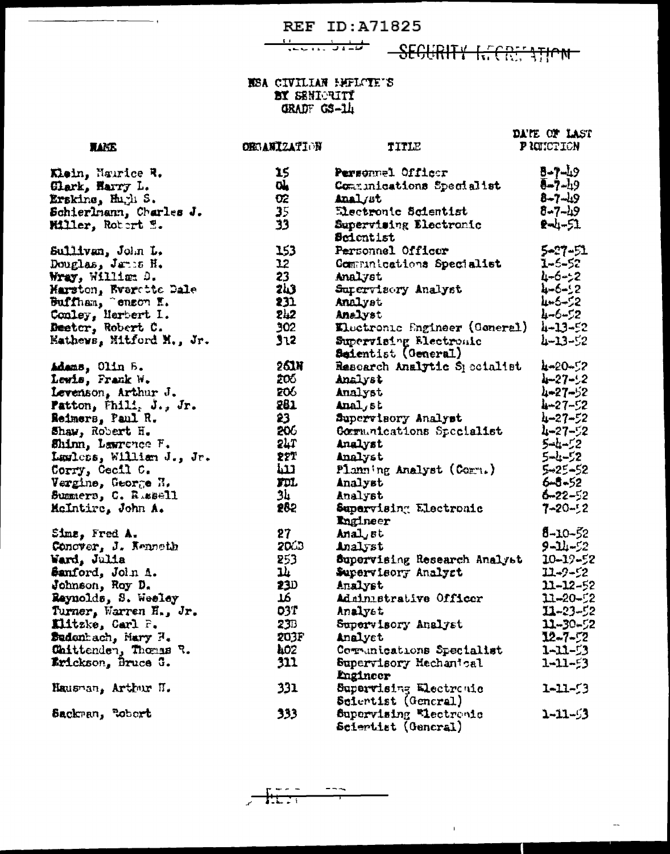SEGURITY INTERNATION

#### NSA CIVILIAN HELCIE'S BY SENIGRITY GRADF GS-1L

15

σí.

**RANS** 

Klein, Naurice R.

DATE OF LAST PROMOTION **ORGANIZATION** TITLE  $8 - 7 - 19$ Personnel Officer  $\overline{(-7-1)}$ Communications Specialist  $8 - 7 - 19$  $8 - 7 - 19$  $-1 - 51$ 5-27-51<br>1-6-52 ist 4-6-52 4-6-52 4-5-52 4-6-52  $oner1)$  $4 - 13 - 52$  $4 - 13 - 52$ ialist 4-20-52  $4 - 27 - 2$  $4 - 27 - 52$  $4 - 27 - 52$  $h - 27 - 52$  $4 - 27 - 52$ 1st  $5 - 1 - 2$  $5 - 1 - 52$  $\cdot$  $5 - 25 - 52$  $6 - 5 - 52$  $6 - 22 - 52$  $7 - 20 - 2$  $8 - 10 - 52$  $9 - 11 - 52$ naly<sub>b</sub>t  $10 - 19 - 52$  $11 - 9 - 2$ 

 $\bar{1}$ 

 $11 - 12 - 52$  $11 - 20 - 22$  $11 - 23 - 52$  $11 - 30 - 52$  $12 - 7 - 72$  $1 - 11 - 53$ 

 $1 - 11 - 53$ 

 $1 - 11 - 53$ 

 $1 - 11 - 53$ 

 $\overline{a}$ 

| Glark, Harry L.               | CÅ.             | Communications Specialist     |
|-------------------------------|-----------------|-------------------------------|
| Erskine, Hugh S.              | œ               | Analyst                       |
| Schierlmann, Charles J.       | 35 <sub>1</sub> | Electronic Scientist          |
| Miller, Robert W.             | 33              | <b>Supervising Electronic</b> |
|                               |                 | <b>Scientist</b>              |
| Sullivan, John L.             | 153             | <b>Personnel Officer</b>      |
| Douglas, Janus H.             | 12              | Communications Specialist     |
| Wray, William D.              | 23              | Analyst                       |
|                               | <b>243</b>      | Supervisory Analyst           |
| Marston, Everette Dale        | 231             | Analyst                       |
| Conley, Marbert I.            | 242             | Analyst                       |
| Deeter, Robert C.             | 302             | Electronic Engineer (Gene)    |
| Eathews, Mitford M., Jr.      | 312             | Supervising Electronic        |
|                               |                 | Seientist (General)           |
| Adams, Olin B.                | 261N            | Research Analytic Special     |
| Lewis, Frank W.               | 206.            | Analyst                       |
| Levenson, Arthur J.           | 206             | Analyst                       |
| <b>Patton, Fhili, J., Jr.</b> | 281             | Anal, st                      |
| <b>Reimers, Paul R.</b>       | 23.             | Supervisory Analyst           |
| Shaw, Robert H.               | 206             | Gormunications Specialist     |
| Shinn, Lawrence F.            | 24T             | Analyst                       |
| Lawless, William J., Jr.      | 227             | Analyst                       |
| Corry, Cecil C.               | للنة            | Planning Analyst (Corn.)      |
| Vergine, George H.            | FDI.            | Analyst                       |
| Summers, C. R.ssell           | 34              | Analyst                       |
| McIntire, John A.             | 282             | Supervising Electronic        |
|                               |                 | Ingineer                      |
| Sims, Fred A.                 | 27              | Anal st                       |
| Conover, J. Kenneth           | 2063            | Analyst                       |
| Ward, Julia                   | 253             | Supervising Research Anal     |
| Samford, John A.              | 14              | Supervisory Analyst           |
| Johnson, Roy D.               | 23D             | Analyst                       |
| Reynolds, S. Weeley           | 76              | Administrative Officer        |
| Turner, Warren H., Jr.        | <b>03T</b>      | Analyst                       |
| Elitzke, Carl P.              | 23B             | Supervisory Analyst           |
| Sudenhach, Mary H.            | 203F            | Analyst                       |
| Chittenden, Thomas R.         | 402             | Communications Specialist     |
| Erickson, Bruce G.            | 311             | Supervisory Mechanical        |
|                               |                 | Engineer                      |
| Hausman, Arthur II.           | 331             | Supervising Electronic        |
|                               |                 | Scientist (General)           |
| Sackran, Robert               | 333             | Supervising Wectronic         |
|                               |                 | Sciertist (General)           |

 $\sim$   $\sim$   $\sim$  $- - -$ 1:17 T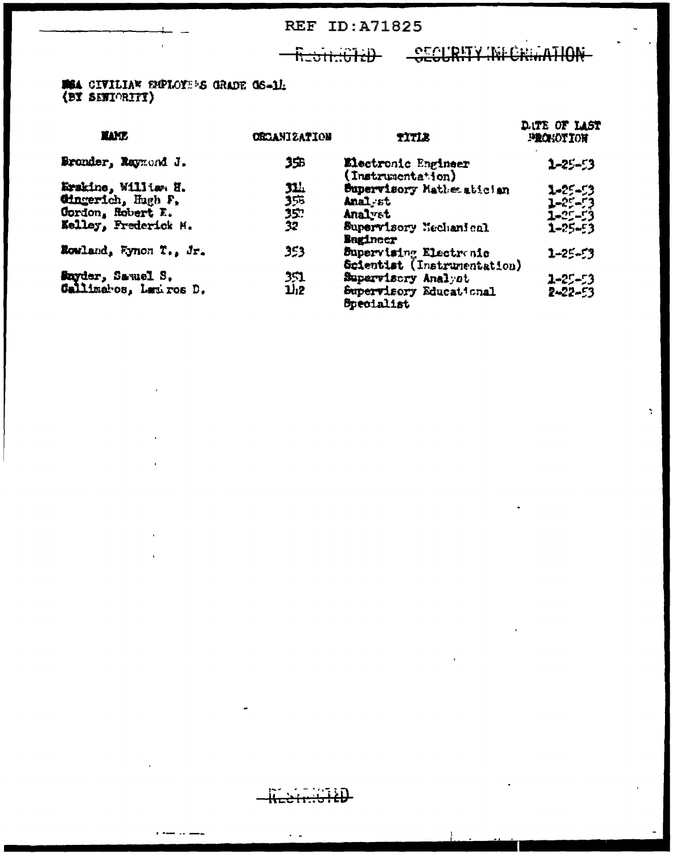### Redit: CTED CECURITY INFORMATION

**NSA CIVILIAN EMPLOYE'S GRADE GS-1/:**<br>(BY SENIORITY)

| <b>YAMP.</b>              | <b>ORGANIZATION</b> | TITLE                                                 | DATE OF LAST<br><b>MECHANITION</b> |
|---------------------------|---------------------|-------------------------------------------------------|------------------------------------|
| Bronder, Raymond J.       | 35B                 | Electronic Engineer<br>(Instrumentation)              | $2 - 25 - 53$                      |
| Erskine, Williem H.       | 31.L                | Supervisory Mathematician                             | 1-25-53                            |
| Cingerich, Hugh F.        | 356                 | Anal st                                               | $1 - 25 - 73$                      |
| <b>Cordon</b> , Robert E. | 35.                 | Analyst                                               | 1-25-53                            |
| Kelley, Frederick M.      | 32                  | Supervisory Mechanical<br><b>Bugineer</b>             | $1 - 25 - 3$                       |
| Rowland, Fynon T., Jr.    | 353                 | Supervising Electronic<br>Scientist (Instrumentation) | $1 - 25 - 53$                      |
| <b>Snyder, Samuel S.</b>  | 351                 | Supervisory Analyst                                   | $2 - 25 - 53$                      |
| Callimatos, Lamiros D.    | 11.2                | Supervisory Educational<br><b>Specialist</b>          | 2~22~53                            |

- 11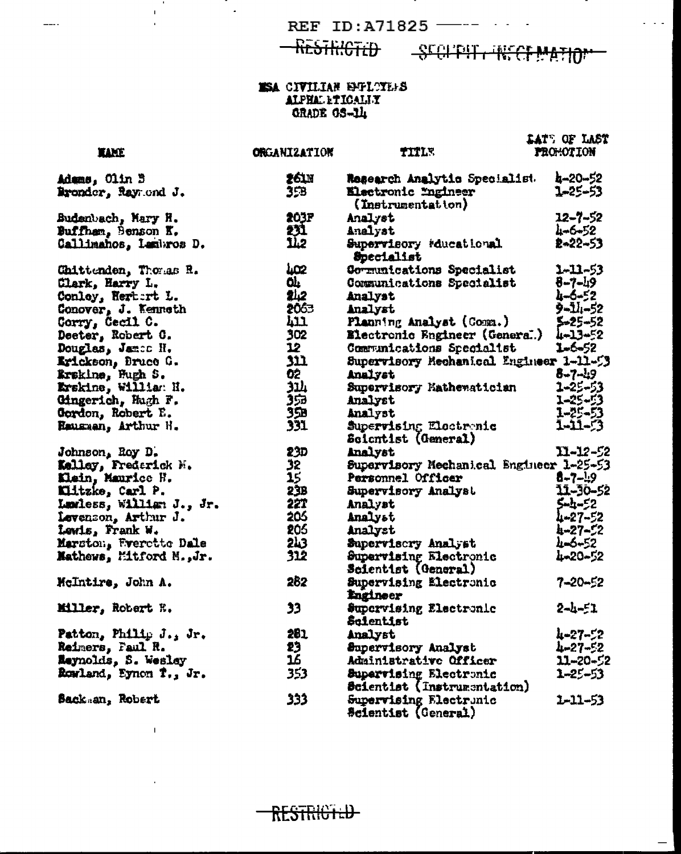-RESTRICTED

 $\mathbf{r}$ 

 $\mathbf{T}$ 

 $\bar{1}$ 

 $\hat{\mathbf{r}}$ 

 $\frac{1}{2}$ 

 $\ddot{\phantom{a}}$ 

SCOUTH RECEPATION

 $\omega = \omega / \omega$ 

### **ESA CIVILIAN EMPLOYEES** ALPHAL LTICALIY

|                          |                          |                                          | <b>LAT'S OF LAST</b> |
|--------------------------|--------------------------|------------------------------------------|----------------------|
| <b>TAME</b>              | <b>ORGANIZATION</b>      | TITLE                                    | PROMOTION            |
|                          |                          |                                          |                      |
| Adams, Olin B            | 261N                     | Rosearch Analytic Specialist.            | 4-20-52              |
| Bronder, Raymond J.      | 35B                      | Electronic Engineer<br>(Instrumentation) | 1-25-53              |
| Budenbach, Mary H.       | 203F                     | Analyst                                  | ユ2ー7ー52              |
| Buffham, Benson K.       | 231                      | Analyst                                  | 4-6-52               |
| Callimahos, Lambros D.   | 1Ī.2                     | Supervisory reducational<br>Specialist   | 2-22-53              |
| Chittenden, Thomas R.    | uœ                       | Communications Specialist                | 1-11-53              |
| Clark, Harry L.          | ۵Ļ                       | Communications Specialist                | $8 - 7 - 19$         |
| Conley, Rertert L.       | 242                      | Analyst                                  | 4-6-52               |
| Conover, J. Kenneth      | 2063                     | Analyst                                  | <b>9-14-52</b>       |
| Corry, Cecil C.          | 411                      | Planning Analyst (Comm.)                 | 5-25-52              |
| Deeter, Robert C.        | 302                      | <b>Electronic Engineer (General)</b>     | 4-13-52              |
| Douglas, James H.        | 12                       | Communications Specialist                | 1-6-52               |
| Erickson, Bruce G.       | 311                      | Supervisory Mechanical Engineer 1-11-53  |                      |
| Krakine, Fugh S.         | 02                       | Analyst                                  | $8 - 7 - 19$         |
| Krskine, William N.      | ىلاد                     | Supervisory Mathewatician                | 1-25-53              |
| Cingerich, Hugh F.       | 353                      | Analyst                                  | 1-25-53              |
| Gordon, Robert E.        | 35B                      | Analyst                                  | 1-25-53              |
| Hausman, Arthur H.       | 331                      | Supervising Electronic                   | 1-11-53              |
|                          |                          | Scientist (General)                      |                      |
| Johnson, Roy D.          | 23D                      | Analyst                                  | $11 - 12 - 52$       |
| Kelley, Frederick H.     | 32                       | Supervisory Mechanical Engineer 1-25-53  |                      |
| Klein, Maurice H.        | $\overline{\mathbf{15}}$ | Personnel Officer                        | $6 - 7 - 19$         |
| Kiitzke, Carl P.         | 23B                      | Supervisory Analyst                      | 11-30-52             |
| Lamless, William J., Jr. | 221                      | Analyst                                  | 5-4-52               |
| Levenson, Arthur J.      | 206                      | Analyst                                  | 4-27-52              |
| Lewis, Frank W.          | 205                      | Analyst                                  | 4-27-52              |
| Marston, Frerette Dale   | 2 <sub>h3</sub>          | Supervisory Analyst                      | 4-5-52               |
| Mathews, Mitford M., Jr. | 312                      | Supervising Electronic                   | 4-20-52              |
|                          |                          | Scientist (General)                      |                      |
| McIntire, John A.        | 262                      | Supervising Electronic<br>Engineer       | 7-20-52              |
| Miller, Robert R.        | 33                       | Supervising Electronic<br>Scientist      | $2 - 4 - 51$         |
| Patton, Philip J., Jr.   | 281                      | Analyst                                  | 4-27-52              |
| Reimers, Faul R.         | 23                       | Supervisory Analyst                      | 4-27-52              |
| Reynolds, S. Wesley      | 16                       | Administrative Officer                   | 11-20-52             |
| Rowland, Eynon T., Jr.   | 353                      | Supervising Electronic                   | $1 - 25 - 53$        |
|                          |                          | Scientist (Instrumentation)              |                      |
| <b>Sack an, Robert</b>   | 333                      | Supervising Electrunic                   | 2-11-53              |
|                          |                          | <b>Scientist (Ceneral)</b>               |                      |

RESTRICTED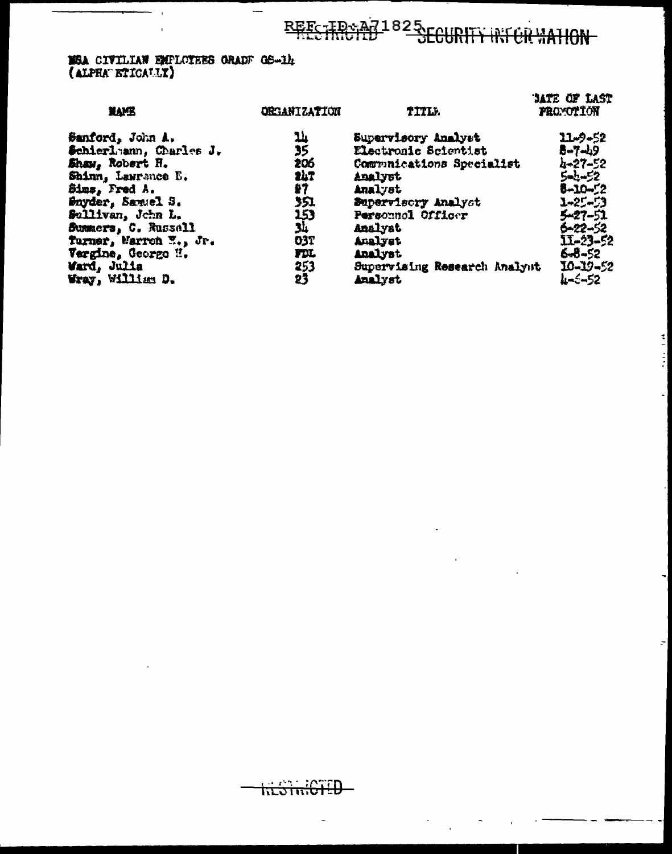## REESTROID 1825 COURTY IN CRYATION

## **MSA CIVILIAN EMPLOTEES GRADE GS-14**<br>(ALPHA ETICALLY)

 $\sim$ 

| <b>NAME</b>            | <b>ORGANIZATION</b>      | TITLE.                       | <b>JATE OF LAST</b><br><b>FROYOTION</b> |
|------------------------|--------------------------|------------------------------|-----------------------------------------|
| Sanford, John A.       | 14                       | Supervisory Analyst          | 11-9-52                                 |
| Schierlann, Charles J. | $\overline{\mathbf{35}}$ | Electronic Scientist         | 8-7-49                                  |
| Shaw, Robert H.        | 206                      | Communications Specialist    | 4-27-52                                 |
| Shinn, Lawrance E.     | 247                      | Analyst                      | $5 - 52$                                |
| Sims, Fred A.          | 27                       | Analyst                      | 5-10-52                                 |
| Snyder, Samuel S.      | 351                      | Supervisory Analyst          | ユーネジージタ                                 |
| Sullivan, John L.      | 153                      | Personnol Officer            | $5 - 27 - 51$                           |
| Summers, C. Russell    | 34                       | Analyst                      | 6-22-52                                 |
| Turner, Warren E., Jr. | 037                      | Analyst                      | 11-23-52                                |
| Vergine, George H.     | FDI.                     | Analyst                      | 6-8-52                                  |
| Ward, Julia            | 253                      | Supervising Research Analyst | 10-19-52                                |
| Wray, William D.       | 23                       | Analyst                      | 4-5-52                                  |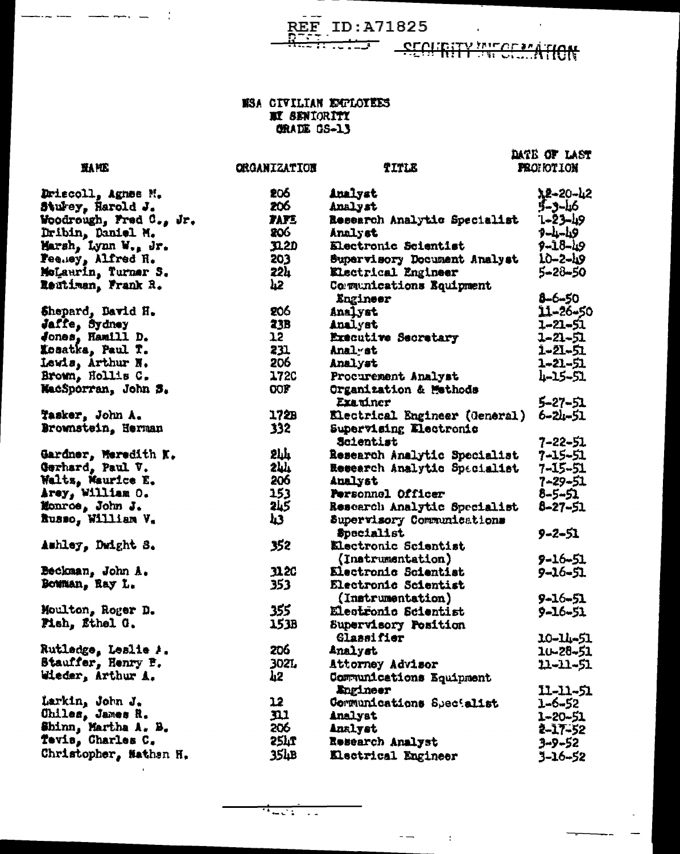**TITLE** 

<del>n luis</del>

**SECURITY WITCH ATION** 

DATE OF LAST

**FROHOTION** 

#### **NSA CIVILIAN EMPLOYEES II SENIORITY ORADE CS-13**

**ORGANIZATION** 

**HAME** 

Driscoll, Agnes N. 206 Analyst 75-50-75 Sturey, Harold J. 206 5-3-46 Analyst Woodrough, Fred C., Jr. **TAFE**  $1 - 23 - 19$ Research Analytic Specialist 206  $9 - 4 - 19$ Dribin, Daniel M. Analyst Marsh, Lynn W., Jr.  $32.2D$ Electronic Scientist  $9 - 18 - 19$ Fee.ey, Alfred H. 203 IO-2-49 Supervisory Document Analyst McLaurin, Turner S.  $22<sub>h</sub>$ 5-28-50 Electrical Engineer Reutiman, Frank R. ሥ. Comunications Equipment 8-6-50 **Engineer** 206 11-26-50 Shepard, David H. Analyst Jaffe, Sydney<br>Jones, Hamill D. **23B** 1–21–51 Analyst  $12<sup>7</sup>$ Executive Secretary 1-21-51 231 Xosatka, Paul T. Anal st 1-21-51 206 Lewis, Arthur N. Analyst 1-21-51 Brown, Hollis C. **1720** 4-15-51 Procurement Analyst WacSporran, John S.  $OOF$ Organization & Methods 5-27-51 Examiner  $172B$ Tasker, John A. Electrical Engineer (General) 6-24-51 Brownstein, Herman  $332 -$ Supervising Electronic Scientist 7-22-51 Gardner, Meredith K.<br>Gerhard, Paul V.  $2<sub>hh</sub>$ Research Analytic Specialist 7-15-51 244 Research Analytic Spacialist 7-15-51 Waltz, Maurice E.<br>Arey, William O. 206 **Analyst** 7-29-51 153 Personnel Officer 8-5-51 Monroe, John J.<br>Russo, William V. **2L5** 8-27-51 Research Analytic Specialist h3 Supervisory Communications Specialist 9-2-51 Amhley, Dwight S. 352 Electronic Scientist (Instrumentation)  $9 - 16 - 51$ Beckman, John A. **1120** Electronic Scientist 9-16-51 Bowman, Ray L. 353 Electronic Scientist (Instrumentation) 9-16-51 355 Moulton, Roger D. **Electronic Scientist** 9-16-51 Pish, Ethel G. 153B Supervisory Position **Glassifier** 10-14-51 206 Rutladge, Leslie A. Analyst 10-28-51 Stauffer, Henry P. **302L** Attorney Advisor 11-11-51 Wieder, Arthur A. **h2** Communications Equipment Engineer 11-11-51 Larkin, John J.  $12<sup>7</sup>$ Communications Specialist 1-6-52 Chiles, James R.  $\mathbf{m}$ Analyst 1-20-51 Shinn, Martha A. B. 206 **Analyst** 2-17-52 Tevis, Charles C. 254T Research Analyst 3-9-52 Christopher, Nathen H.  $35hB$ Electrical Engineer 3-16-52

 $\mathbf{f}$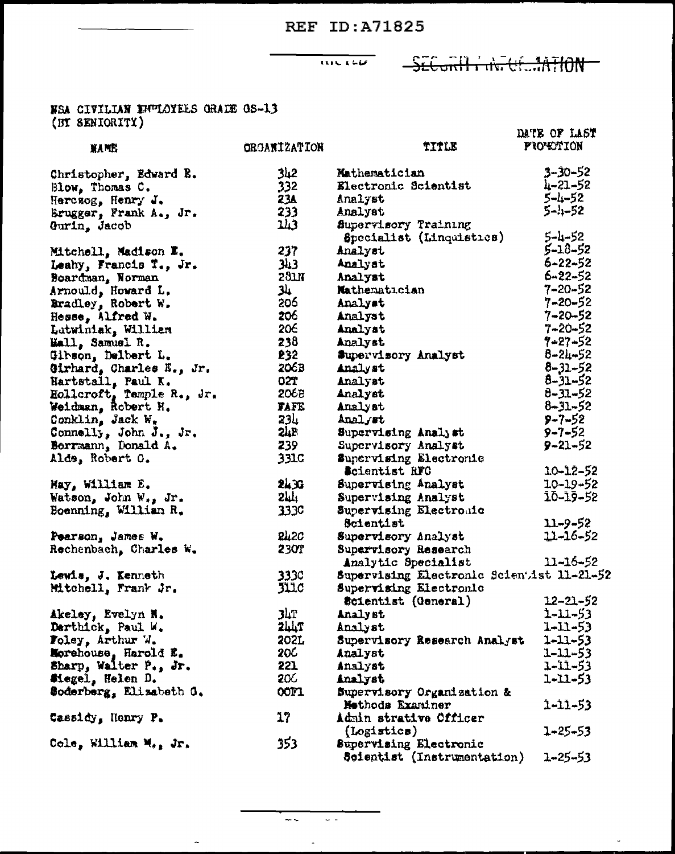$\frac{1}{1111.166}$ 

### SECURITY INTUESTATION

## NSA CIVILIAN EHULÓYEES GRADE OS-13<br>(BY SENIORITY)

| (Dr. opmychity)           |                       |                                           | DATE OF LAST     |
|---------------------------|-----------------------|-------------------------------------------|------------------|
| <b>NAME</b>               | <b>ORGANIZATION</b>   | TITLE                                     | <b>PIO'EXION</b> |
| Christopher, Edward R.    | 2ہلاڑ                 | Mathematician                             | 3-30-52          |
| Blow, Thomas C.           | 332                   | Electronic Scientist                      | 4-21-52          |
| Herczog, Henry J.         | 23A                   | Analyst                                   | 5-4-52           |
| Brugger, Frank A., Jr.    | 233                   | Analyst                                   | $5 - 1 - 52$     |
| Gurin, Jacob              | 243                   | Supervisory Training                      |                  |
|                           |                       | Specialist (Linquistics)                  | $5 - 1 - 52$     |
| Mitchell, Madison E.      | 237                   | Analyst                                   | $5 - 18 - 52$    |
| Leahy, Francis T., Jr.    | 343                   | Analyst                                   | $6 - 22 - 52$    |
| Boardman, Norman          | 231H                  | Analyst                                   | $6 - 22 - 52$    |
| Arnould, Howard L.        | لىلا                  | Mathematician                             | $7 - 20 - 52$    |
| Bradley, Robert W.        | 206                   | Analyst                                   | $7 - 20 - 52$    |
| Hesse, Alfred W.          | 206                   | Analyst                                   | $7 - 20 - 52$    |
| Lutwiniak, William        | 206                   | Analyst                                   | $7 - 20 - 52$    |
| Mall, Samuel R.           | 238                   | Analyst                                   | $7 - 27 - 52$    |
| Gibson, Delbert L.        | £32                   | Supervisory Analyst                       | $8 - 24 - 52$    |
| Girhard, Charles E., Jr.  | 206B                  | Analyst                                   | $8 - 31 - 52$    |
| Hartstall, Paul K.        | <b>O2T</b>            | Analyst                                   | $8 - 31 - 52$    |
| Hollcroft, Temple R., Jr. | <b>206B</b>           | Analyst                                   | $8 - 31 - 52$    |
| Weidman, Robert H.        | <b>TAFE</b>           | Analyst                                   | $8 - 31 - 52$    |
| Conklin, Jack $W_n$       | <b>234</b>            | Analyst                                   | $9 - 7 - 52$     |
| Connelly, John J., Jr.    | 24B                   | Supervising Analyst                       | $9 - 7 - 52$     |
| Berrmann, Donald A.       | 239                   | Supervisory Analyst                       | $9 - 21 - 52$    |
| Alds, Robert C.           | 331C                  | Supervising Electronic                    |                  |
|                           |                       | Scientist RFC                             | $10 - 12 - 52$   |
| May, William E.           | 2433                  | Supervising Analyst                       | $10 - 19 - 52$   |
| Watson, John W., Jr.      | $571^{+}$             | Supervising Analyst                       | 10-19-52         |
| Boenning, William R.      | <b>3330</b>           | Supervising Electronic                    |                  |
|                           |                       | Scientist                                 | $11 - 9 - 52$    |
| Pearson, James W.         | <b>242C</b>           | Supervisory Analyst                       | $11 - 16 - 52$   |
| Rechenbach, Charles W.    | <b>230T</b>           | Supervisory Research                      |                  |
|                           |                       | Analytic Specialist                       | $11 - 16 - 52$   |
| Lewis, J. Kenneth         | 333C                  | Supervising Electronic Scientist 11-21-52 |                  |
| Mitchell, Frank Jr.       | $J\mathfrak{U}$ . $c$ | Supervising Electronic                    |                  |
|                           |                       | Scientist (General)                       | $12 - 21 - 52$   |
| Akeley, Evelyn N.         | <b>34T</b>            | Analyst                                   | $1 - 11 - 53$    |
| Derthick, Paul W.         | <b>244T</b>           | Analyst                                   | 1-11-53          |
| Foley, Arthur W.          | 202L                  | Supervisory Research Analyst              | $1 - 11 - 53$    |
| Morehouse, Harold E.      | 20C                   | Analyst                                   | 1-11-53          |
| Sharp, Walter P., Jr.     | 221                   | Analyst                                   | 1-11-53          |
| Miegel, Helen D.          | 20G                   | Analyst                                   | 1-11-53          |
| Soderberg, Elizabeth G.   | <b>COFI</b>           | Supervisory Organization &                |                  |
|                           |                       | Methods Examiner                          | 1-11-53          |
| Cassidy, Nenry P.         | 17                    | Admin strative Officer                    |                  |
|                           |                       | (Logistics)                               | 1-25-53          |
| Cole, William M., Jr.     | 353                   | Supervising Electronic                    |                  |
|                           |                       | Scientist (Instrumentation)               | $1 - 25 - 53$    |

 $\frac{1}{2} \frac{1}{2} \frac{1}{2} \frac{1}{2} \frac{1}{2} \frac{1}{2} \frac{1}{2} \frac{1}{2} \frac{1}{2} \frac{1}{2} \frac{1}{2} \frac{1}{2} \frac{1}{2} \frac{1}{2} \frac{1}{2} \frac{1}{2} \frac{1}{2} \frac{1}{2} \frac{1}{2} \frac{1}{2} \frac{1}{2} \frac{1}{2} \frac{1}{2} \frac{1}{2} \frac{1}{2} \frac{1}{2} \frac{1}{2} \frac{1}{2} \frac{1}{2} \frac{1}{2} \frac{1}{2} \frac{$ 

 $\Delta$ 

 $\sim$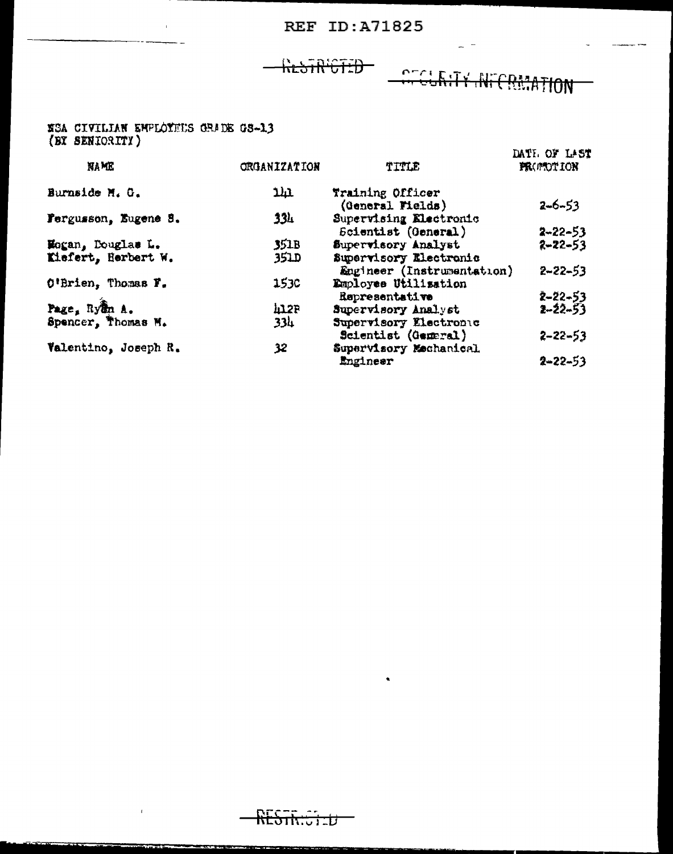### KESTR'CTED

 $\overline{\phantom{0}}$ 

## **CEGLATY INTERMATION**

 $\overline{\phantom{0}}$ 

### SSA CIVILIAN EMPLOYEUS GRADE GS-13 (BY SENIORITY)

 $\overline{1}$ 

**TERR** 

 $\overline{1}$ 

|                      |                     |                            | DATE OF LAST      |
|----------------------|---------------------|----------------------------|-------------------|
| <b>NAME</b>          | <b>ORGANIZATION</b> | TITLE                      | <b>FRONTOTION</b> |
| Burnside M. G.       | תענ                 | Training Officer           |                   |
|                      |                     | (General Fields)           | $2-6-53$          |
| Fergusson, Eugene S. | 334                 | Supervising Electronic     |                   |
|                      |                     | Scientist (General)        | $2 - 22 - 53$     |
| Hogan, Douglas L.    | 351B                | Supervisory Analyst        | $2 - 22 - 53$     |
| Kiefert, Herbert W.  | <b>351D</b>         | Supervisory Riectronic     |                   |
|                      |                     | Engineer (Instrumentation) | $2 - 22 - 53$     |
| O'Brien, Thomas F.   | <b>1530</b>         | Employee Utilisation       |                   |
|                      |                     | Representative             | $2 - 22 - 53$     |
| Page, Ryan A.        | 41.2P               | Supervisory Analyst        | $2 - 22 - 53$     |
| Spencer, Thomas M.   | <b>334</b>          | Supervisory Electronic     |                   |
|                      |                     | Scientist (General)        | $2 - 22 - 53$     |
| Valentino, Joseph R. | 32                  | Supervisory Mechanical     |                   |
|                      |                     | Ingineer                   | $2 - 22 - 53$     |

<u> The Second Company of the Second Company of the Second Company of the Second Company of the Second Company of the Second Company of the Second Company of the Second Company of the Second Company of the Second Company of </u>

 $\bullet$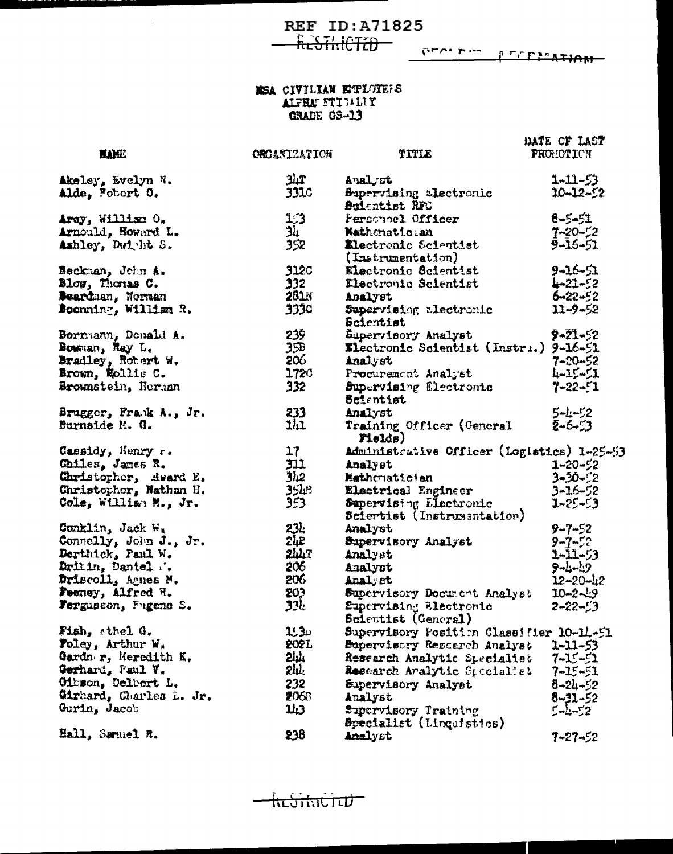$\sim 10^{-11}$ 

**REF ID:A71825** Resikieted-

 $Q_{\text{L}}$  or  $L$  in the line of  $L$  in the subset of  $L$  in the subset of  $L$ 

### NSA CIVILIAN EPELOTEFS ALFRAUE CS-13

 $\overline{a}$ 

|                         |                     |                                            | HATE OF LAST     |
|-------------------------|---------------------|--------------------------------------------|------------------|
| <b>HAME</b>             | <b>OROANIZATION</b> | TITLE                                      | <b>PROMOTION</b> |
|                         |                     |                                            |                  |
| Akeley, Evelyn N.       | 31T                 | Analyst                                    | $1 - 11 - 53$    |
| Alde, Fobort 0.         | 331C                | Supervising alectronic                     | $10 - 12 - 52$   |
|                         |                     | Scientist RFC                              |                  |
| Aray, William O.        | <b>زیا</b>          | Personnel Officer                          | $8 - 5 - 51$     |
| Arnould, Howard L.      | آلا                 | <b>Nathenationan</b>                       | $7 - 20 - 52$    |
| Ashley, Dwitht S.       | 352                 | Electronic Scientist                       | $9 - 16 - 51$    |
|                         |                     | (Instrumentation)                          |                  |
| Beckman, John A.        | <b>3120</b>         | Electronic Scientist                       | 9-16-51          |
| Blow, Thomas C.         | 332 <sub>2</sub>    | Electronic Scientist                       | $4 - 21 - 52$    |
| <b>Beardman, Norman</b> | 281N                | Analyst                                    | $6 - 22 - 52$    |
| Boonning, William R.    | 333C                | Supervising alectronic                     | $11 - 9 - 52$    |
|                         |                     | Scientist                                  |                  |
| Bormann, Donald A.      | 239                 | Supervisory Analyst                        | 9-21-52          |
| Bouman, Ray L.          | 35B                 | Klectronic Scientist (Instri.) 9-16-51     |                  |
| Bradley, Robert W.      | 206                 | Analyst                                    | $7 - 20 - 52$    |
| Brown, Nollis C.        | 172C                | Procurement Analyst                        | ルーユビージエ          |
| Brownstein, Herman      | 332 <sub>2</sub>    | Supervising Electronic                     | $7 - 22 - 1$     |
|                         |                     | Belentist                                  |                  |
| Brugger, Frank A., Jr.  | 233                 | Analyst                                    | $5 - 1 - 52$     |
| Burnside M. G.          | 111                 | Training Officer (General                  | $2 - 6 - 53$     |
|                         |                     | Fields)                                    |                  |
| Cassidy, Henry r.       | 17 <sub>2</sub>     | Administrative Officer (Logistics) 1-25-53 |                  |
| Chiles, James R.        | 311                 | Analyst                                    | $1 - 20 - 52$    |
| Christopher, deard E.   | 2.او                | Mathonaticien                              | $3 - 30 - 2$     |
| Christopher, Nathan H.  | $35h$ <sup>p</sup>  | Electrical Engineer                        | $3 - 16 - 52$    |
| Cole, William M., Jr.   | 353.                | Supervising Electronic                     | $1 - 25 - 53$    |
|                         |                     | Sciertist (Instrumentation)                |                  |
| Conklin, Jack W.        | 234                 | Analyst                                    | $9 - 7 - 52$     |
| Connelly, John J., Jr.  | 24E                 | Supervisory Analyst                        | $9 - 7 - 52$     |
| Derthick, Paul W.       | <b>244T</b>         | Analyst                                    | $1 - 11 - 53$    |
| Dritin, Daniel          | 206                 | Analyst                                    | $9 - 1 - 19$     |
| Driscoll, Agnes M.      | 206                 | Analyst                                    | $12 - 20 - 42$   |
| Feeney, Alfred H.       | 203                 | Supervisory Document Analyst               | $10 - 2 - 19$    |
| Fergusson, Fugene S.    | 33Ŀ                 | Eupervising Electronic                     | $2 - 22 - 53$    |
|                         |                     | Scientist (General)                        |                  |
| Fish, sthel G.          | ىدرىد               | Supervisory Fosition Classifier 10-11-51   |                  |
| Foley, Arthur W.        | <b>2021.</b>        | Bupervisory Rescarch Analyst               | $1 - 11 - 53$    |
| Gardner, Meredith K.    | 5ηγ.                | Research Analytic Specialist               | $7 - 15 - 51$    |
| Gerhard, Paul V.        | 2h.                 | Research Aralytic Specialist               | $7 - 15 - 51$    |
| Oibson, Delbert L.      | 232                 | Supervisory Analyst                        | $8 - 24 - 52$    |
| Cirhard, Charles L. Jr. | 206B                | Analyst                                    | $8 - 31 - 52$    |
| Gurin, Jacob            | 3 لنلا              | Supervisory Training                       | $5 - 1 - 52$     |
|                         |                     | Specialist (Linquistics)                   |                  |
| Hall, Samuel R.         | 238                 | Analyst                                    | 7-27-52          |

᠊<del>ᡰᡅ᠋ᢒ᠊ᡤᡳᠡᠧᡏ᠊</del>ᠴᢧ᠆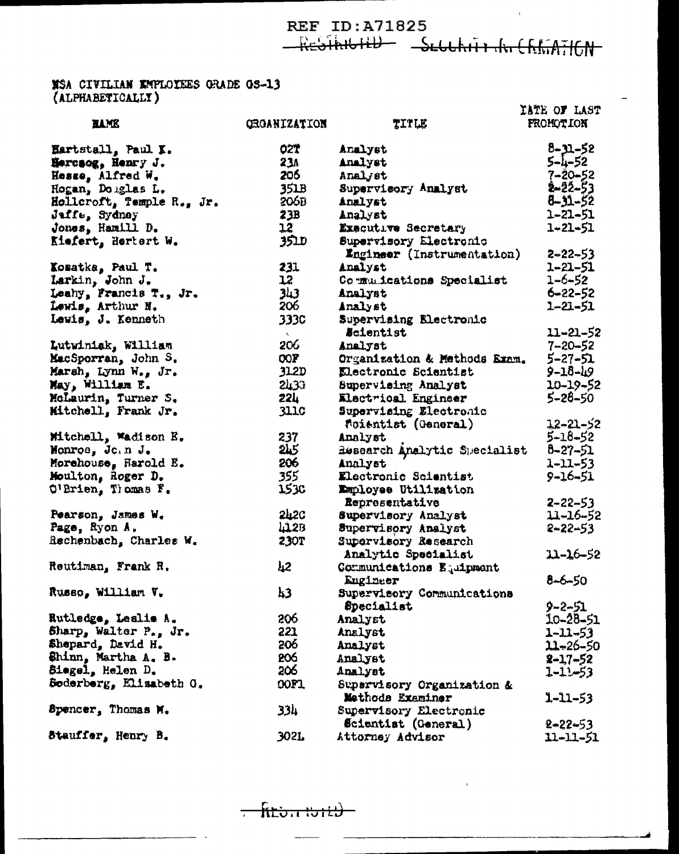RESTRIGHT - SEGGRITH THE CREATION

## **NSA CIVILIAN EMPLOIEES GRADE 0S-13**<br>(ALPHABETICALLY)

|                                           |                     |                              | IATE OF LAST     |
|-------------------------------------------|---------------------|------------------------------|------------------|
| <b>XAME</b>                               | <b>CHOANIZATION</b> | TITLE                        | <b>PROMOTION</b> |
| Eartstall, Paul I.                        | 027                 | Analyst                      | $8 - 31 - 52$    |
| Hercsog, Henry J.                         | 23A                 | Analyst                      | 5-4-52           |
| Hosse, Alfred W.                          | 205                 | Analjst                      | $7 - 20 - 52$    |
| Hogan, Douglas L.                         | 351B                | Supervicory Analyst          | $2 - 22 - 53$    |
| Hollcroft, Temple R., Jr.                 | 206D                | Analyst                      | $8 - 31 - 52$    |
| Jaffe, Sydney                             | 23B                 | Analyst                      | $1 - 21 - 51$    |
| Jones, Hamill D.                          | 12                  | Exacutive Secretary          | $1 - 21 - 51$    |
| Kiefert, Hertert W.                       | שבצ                 | Supervisory Electronic       |                  |
|                                           |                     | Engineer (Instrumentation)   | $2 - 22 - 53$    |
| Kosatka, Paul T.                          | 231                 | Analyst                      | 1-21-51          |
|                                           | 12 <sup>°</sup>     | Communications Specialist    | $1 - 6 - 52$     |
| Larkin, John J.<br>Leahy, Francis T., Jr. | 343                 | Analyst                      | $6 - 22 - 52$    |
| Lewis, Arthur N.                          | 206                 | Analyst                      | 1-21-51          |
| Lewis, J. Kenneth                         | 333C                | Supervising Electronic       |                  |
|                                           | $\mathbf{X}$ .      | <i><b>Scientist</b></i>      | 11-21-52         |
| Lutwiniak, William                        | 206                 | Analyst                      | $7 - 20 - 52$    |
| MacSporran, John S.                       | OOF                 | Organization & Methods Exam. | $5 - 27 - 51$    |
| Marsh, Lynn W., Jr.                       | 31.2D               | Electronic Scientist         | $9 - 18 - 19$    |
| May, William E.                           | 5733                | Supervising Analyst          | 10-19-52         |
| McLaurin, Turner S.                       | 224 L               | Electrical Engineer          | $5 - 28 - 50$    |
| Mitchell, Frank Jr.                       | <b>3110</b>         | Supervising Electronic       |                  |
|                                           |                     | foientist (General)          | 12-21-52         |
| Mitchell, Wadison E.                      | 237                 | Analyst                      | $5 - 18 - 52$    |
| Monroe, Join J.                           | 215                 | Research Analytic Specialist | 8-27-51          |
| Morehouse, Harold E.                      | 206                 | Analyst                      | 1-11-53          |
| Moulton, Roger D.                         | 355                 | Electronic Scientist         | 9-16-51          |
| $Ot$ Prien, Thomas $Ft$                   | 153c                | Employee Utilization         |                  |
|                                           |                     | Representative               | $2 - 22 - 53$    |
| Pearson, James W.                         | 242C                | Supervisory Analyst          | 11-16-52         |
| Page, Ryon A.                             | 412B                | Supervisory Analyst          | 2-22-53          |
| Rechenbach, Charles W.                    | <b>230T</b>         | Supervisory Research         |                  |
|                                           |                     | Analytic Specialist          | $11 - 16 - 52$   |
| Reutiman, Frank R.                        | 42                  | Communications Equipment     |                  |
|                                           |                     | Engineer                     | $8 - 6 - 50$     |
| Russo, William V.                         | 43                  | Supervisory Communications   |                  |
|                                           |                     | Specialist                   | 9-2-51           |
| Rutledge, Leslie A.                       | 206                 | Analyst                      | 10-28-51         |
| Sharp, Walter P., Jr.                     | 221                 | Analyst                      | $1 - 11 - 53$    |
| Shepard, David H.                         | 206                 | Analyst                      | 11-26-50         |
| Shinn, Martha A. B.                       | 206                 | Analyst                      | $2 - 17 - 52$    |
| Siegel, Helen D.                          | 206                 | Analyst                      | $1 - 11 - 53$    |
| Soderberg, Elisabeth G.                   | 00F1                | Supervisory Organization &   |                  |
|                                           |                     | Methods Examiner             | $1 - 11 - 53$    |
| Spencer, Thomas M.                        | 334                 | Supervisory Electronic       |                  |
|                                           |                     | <b>Scientist (General)</b>   | $2 - 22 - 53$    |
| Stauffer, Henry B.                        | 302L                | Attorney Advisor             | 11-11-51         |
|                                           |                     |                              |                  |

 $f(t)$  $\overline{\phantom{0}}$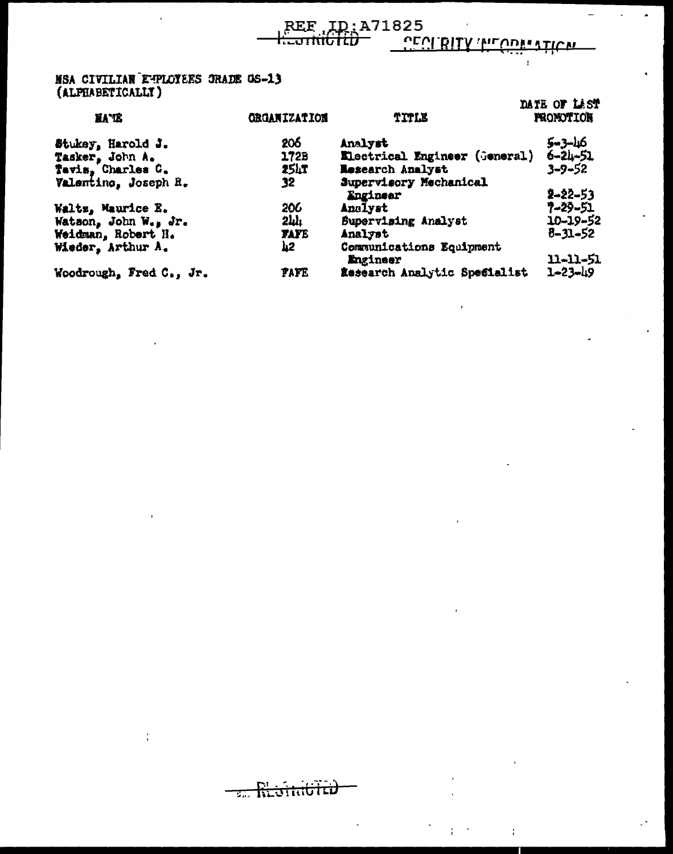Ŧ.

فقعره بالمعمر المرسر

### MSA CIVILIAN EMPLOYEES GRADE OS-13<br>(ALPHABETICALLY)

t

**Contract Received Contract Contract** 

 $\overline{1}$ 

| <b>XA TE</b>            | <b>ORGANIZATION</b> | TITLE                                | UBID VE LEJI<br><b>FRONOTION</b> |
|-------------------------|---------------------|--------------------------------------|----------------------------------|
| Stukey, Harold J.       | 206                 | Analyst                              | 5-3-46                           |
| Tasker, John A.         | 1728                | Electrical Engineer (General)        | $6 - 24 - 51$                    |
| Tavis, Charles C.       | 25LT                | <b>Research Analyst</b>              | $3 - 9 - 52$                     |
| Valentino, Joseph R.    | 32                  | Supervisory Mechanical<br>Engineer   | 2-22-53                          |
| Waltz, Maurice E.       | 206                 | Analyst                              | サーネタージエ                          |
| Watson, John W., Jr.    | $2\mu$              | Supervising Analyst                  | 10-19-52                         |
| Weidman, Robert H.      | <b>FAFE</b>         | Analyst                              | $8 - 31 - 52$                    |
| Wieder, Arthur A.       | 42                  | Communications Equipment<br>Engineer | 11-11-51                         |
| Woodrough, Fred C., Jr. | <b>TATE</b>         | Research Analytic Specialist         | $1 - 23 - 19$                    |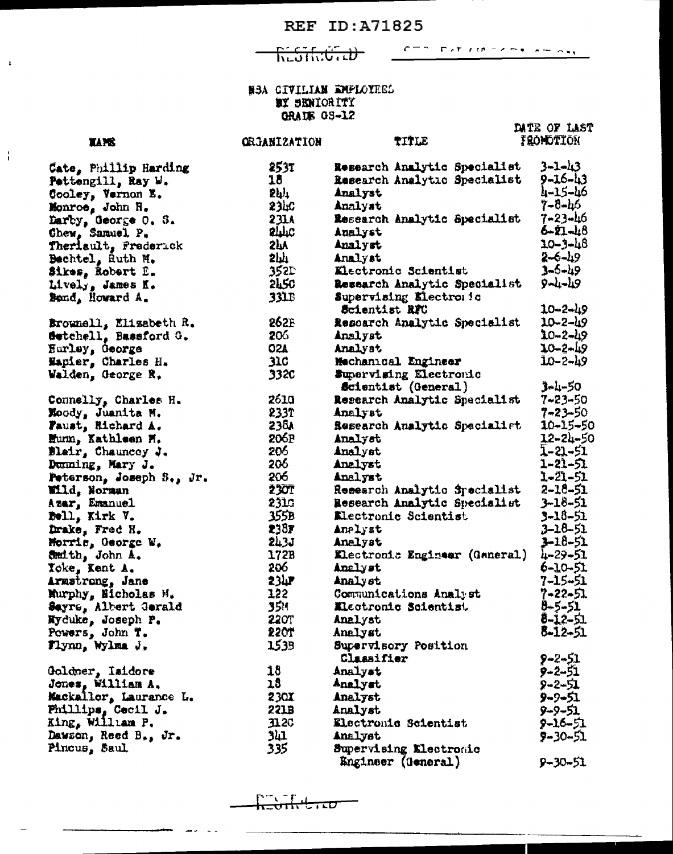ᠮᢑᡄᡈᡏᡰᡕᡕᡦ᠇ᡄᡰᢧ

CTS DATAMEZSK FROM

DATE OF LAST

#### HEA CIVILIAN EMPLOYEES **MY SENIORITY CRAIN GS-12**

#### **XAME**

 $\overline{1}$ 

 $\frac{1}{4}$ 

Cate, Phillip Harding Pettengill, Ray W. Cooley, Vernon E. Monroe, John H. Larby, George O. S.<br>Chew, Samuel P. Theriault, Frederick Bechtel, Ruth M. Sikes, Robert D. Lively, James K. Bond, Howard A. Brownell, Elisabeth R. Setchell, Bassford G. Hurley, deorge Wapier, Charles H. Walden, George R. Connelly, Charles H. Moody, Juanita M. Paust, Richard A. Hunn, Kathleen H. Blair, Chauncey J. Dunning, Mary J. Peterson, Joseph S., Jr. Wild, Norman Azar, Emanuel Bell, Kirk V. Drake, Fred H. Morris, George W. Smith, John A. Toke, Kent A. Armstrong, Jane Murphy, Nicholas M. Sayre, Albert Gerald Nyduke, Joseph P. Powers, John T. Flynn, Wylma J. Goldner, Isidore Jones, William A.

Mackallor, Laurance L. Phillips, Cecil J.<br>King, William P. Dawson, Reed B., Jr. Pincus, Saul

| <b>ORGANIZATION</b> | TITLE                                   | <b>FRONDTION</b> |
|---------------------|-----------------------------------------|------------------|
| 253T                | Research Analytic Specialist            | $3 - 1 - 13$     |
| 18                  | Research Analytic Specialist            | 9-16-43          |
| 2h)                 | Analyst                                 | 4-15-46          |
| 23hC                | Analyst                                 | 7-8-46           |
| 231A                | Research Analytic Specialist            | 7-23-46          |
| <b>SHTC</b>         | Analyst                                 | $6 - 21 - 48$    |
| 2hY                 | Analyst                                 | 10-3-48          |
| بلىلا               | Analyst                                 | $2 - 6 - 19$     |
| 352L                | Electronic Scientist                    | 3-6-49           |
| <b>2LSC</b>         | Research Analytic Specialist            | 9-4-49           |
| <b>331B</b>         | Supervising Electronic<br>Scientist RFC | $10 - 2 - 49$    |
| 262F                |                                         | $10 - 2 - 49$    |
| 206                 | Research Analytic Specialist<br>Analyst | 20-2-49          |
| <b>O2A</b>          | Analyst                                 | 10-2-49          |
| 31C                 | Mechanical Engineer                     | 10-2-49          |
| 332C                | Supervising Electronic                  |                  |
|                     | Scientist (General)                     | $3 + 1 - 50$     |
| 2610                | Research Analytic Specialist            | 7-23-50          |
| 2337                | Analyst                                 | 7-23-50          |
| <b>238A</b>         | Research Analytic Specialist            | $10 - 15 - 50$   |
| 206P                | Analyst                                 | 12-24-50         |
| 206                 | Analyst                                 | 1-21-51          |
| 206                 | Analyst                                 | 1-21-51          |
| 206                 | Analyst                                 | $1 - 21 - 51$    |
| 230T                | Research Analytic Specialist            | 2-18-51          |
| 2310                | Research Analytic Specialist            | 3-18-51          |
| 355B                | Electronic Scientist                    | 3-18-51          |
| 238F                | Analyst                                 | 3-18-51          |
| 243J                | Analyst                                 | 3-18-51          |
| 172B                | Electronic Engineer (Ganeral)           | 4-29-51          |
| 206                 | Analyst                                 | 6-10-51          |
| $23h$ r             | Analyst                                 | 7-15-51          |
| 122                 | Communications Analyst                  | $7 - 22 - 51$    |
| 3511                | Electronic Scientist                    | 8-5-51           |
| <b>220T</b>         | Analyst                                 | 8-12-51          |
| 22OT                | Analyst                                 | 8-12-51          |
| 1539                | Supervisory Position                    |                  |
|                     | Classifier                              | $9 - 2 - 51$     |
| 18                  | Analyst                                 | 9-2-51           |
| 18                  | Analyst                                 | 9-2-51           |
| 230X                | Analyst                                 | $9 - 9 - 51$     |
| 221B                | Analyst                                 | 9-9-51           |
| $\mathbf{C}$        | Electronic Scientist                    | $9 - 16 - 51$    |
| 341                 | Analyst                                 | 9-30-51          |
| 335                 | Supervising Electronic                  |                  |
|                     | Engineer (General)                      | $9 - 30 - 51$    |

᠇ᡃᡄ᠊᠇ᠴᠣ ᡕᡄᡠᠡᡝᡕ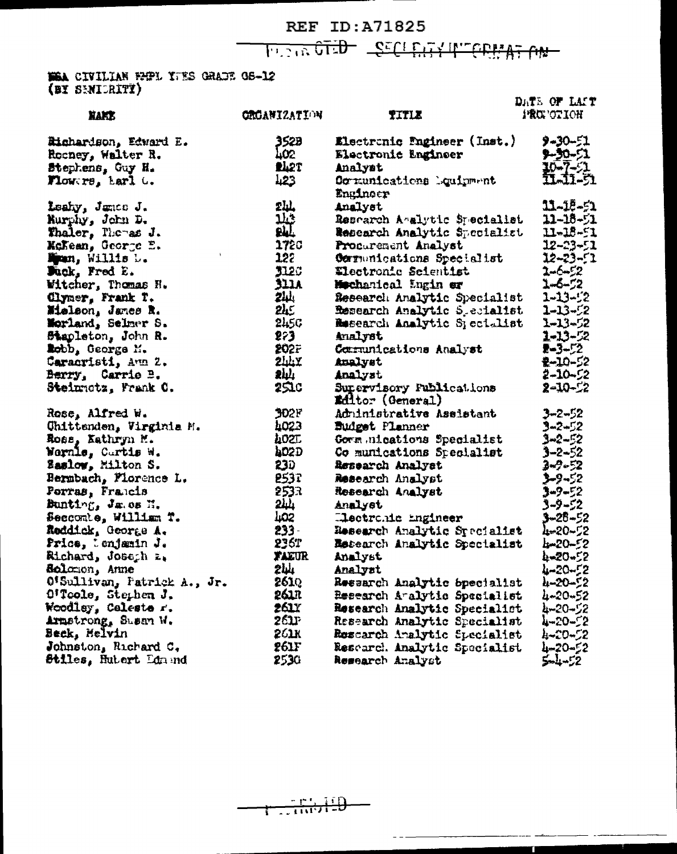**REF ID:A71825 WA TANNIN YEALDED GETS ATTOM** 

WEA CIVILIAN EMPL YTES GRADE GE-12

| .                           |                     |                                                     | DATE OF LAST       |
|-----------------------------|---------------------|-----------------------------------------------------|--------------------|
| nart                        | <b>ORGANIZATION</b> | TITLE                                               | <b>IRCE OF LON</b> |
| Hichardson, Edward E.       | 352B                | Electronic Pngineer (Inst.)                         | $9 - 30 - 51$      |
| Rooney, Walter R.           | 402.                | <b>Electronic Engineer</b>                          | 9-30-51            |
| Stephens, Guy H.            | <b>PL2T</b>         | Analyst                                             | $30 - 7 - 1$       |
| Tlowers, Larl G.            | 123                 | Comunications Dquirment<br>Engineer                 | IJJI-51            |
| Leahy, Janco J.             | 2Щ,                 | Analyst                                             | $11 - 15 - 51$     |
| Nurphy, John D.             | <u> ثلا</u>         | Research Asalytic Specialist                        | $11 - 18 - 51$     |
| Thaler, Themas J.           | <b>PAL</b>          | Research Analytic Specialist                        | $11 - 18 - 51$     |
| McKean, George E.           | 1720                | Procurement Analyst                                 | 12-23-51           |
| Mpan, Willis D.             | 122                 | Cornunications Specialist                           | 12-23-51           |
| Juck, Fred E.               | 312C                | <b>Electronic Scientist</b>                         | 2-6-52             |
| Witcher, Thomas H.          | 3111                | Mechanical Engin er                                 | 1-6-52             |
| Clymer, Frank T.            | <b>244</b>          | Research Analytic Specialist                        | $1 - 13 - 2$       |
| Mielson, James R.           | 2h                  | Research Analytic S_ecialist                        | 1-13-52            |
| Morland, Selmer S.          | 245C                | Research Analytic Specialist                        | 1-13-52            |
| Stapleton, John R.          | 273                 | Analyst                                             | 1-13-52            |
| Lobb, George M.             | <b>202F</b>         | Communications Analyst                              | $2 - 3 - 2$        |
| Caracristi, Aun 2.          | 244X                | Analyst                                             | 2-10-52            |
| Berry, Carrie B.            | 244                 | Analyst                                             | 2-10-52            |
| Steinnetz, Frank C.         | 251c                | Supervisory Fublications<br><b>Editor (General)</b> | $2 - 10 - 2$       |
| Rose, Alfred W.             | 302F                | Adrinistrative Aseistant                            | $3 - 2 - 52$       |
| Chittenden, Virginia M.     | 4023                | <b>Budget Planner</b>                               | $3 - 2 - 52$       |
| Ross, Kathryn M.            | AOZT.               | Gorm nications Specialist                           | 3-2-52             |
| Warnle, Cartis W.           | <b>A02D</b>         | Co munications Specialist                           | $3 - 2 - 52$       |
| <b>Saslow, Milton S.</b>    | 230                 | Research Analyst                                    | 3-2-52             |
| Bernbach, Florence L.       | 2537                | Research Analyst                                    | 3-9-52             |
| Perras, Francis             | 2533                | <b>Research Analyst</b>                             | $3 - 9 - 52$       |
| Bunting, Jawes H.           | <u> 2Щ.</u>         | Analyst                                             | 3-9-52             |
| Seccombe, William T.        | 402                 | Llectronic ingineer                                 | 3-25-52            |
| Reddick, George A.          | $233 -$             | Research Analytic Specialist                        | 4-20-52            |
| Price, lenjæmin J.          | 236T                | <b>Research Analytic Specialist</b>                 | hm20-52            |
| Richard, Joseph z.          | <b>FAEUR</b>        | Analyst                                             | 4-20-52            |
| Solomon, Anne               | 2W                  | Analyst                                             | 4-20-52            |
| O'Sullivan, Patrick A., Jr. | 261Q                | Research Analytic Specialist                        | 4-20-52            |
| O'Toole, Stephen J.         | 261R                | Research Amalytic Specialist                        | 4-20-52            |
| Woodley, Calesta r.         | <b>261</b> Y        | Research Analytic Specialist                        | 4-20-52            |
| Armstrong, Susan W.         | 261F                | Research Analytic Specialist                        | 7-20-25            |
| Beck, Mclvin                | 261K                | Rescarch Analytic Specialist                        | 4-20-52            |
| Johnston, Richard C.        | 261F                | Rescard. Analytic Specialist                        | 4-20-52            |
| Stiles, Hutert Ldm nd       | 2530                | Research Analyst                                    | 5-4-52             |

 $\sim$   $\sim$   $\sim$ 

n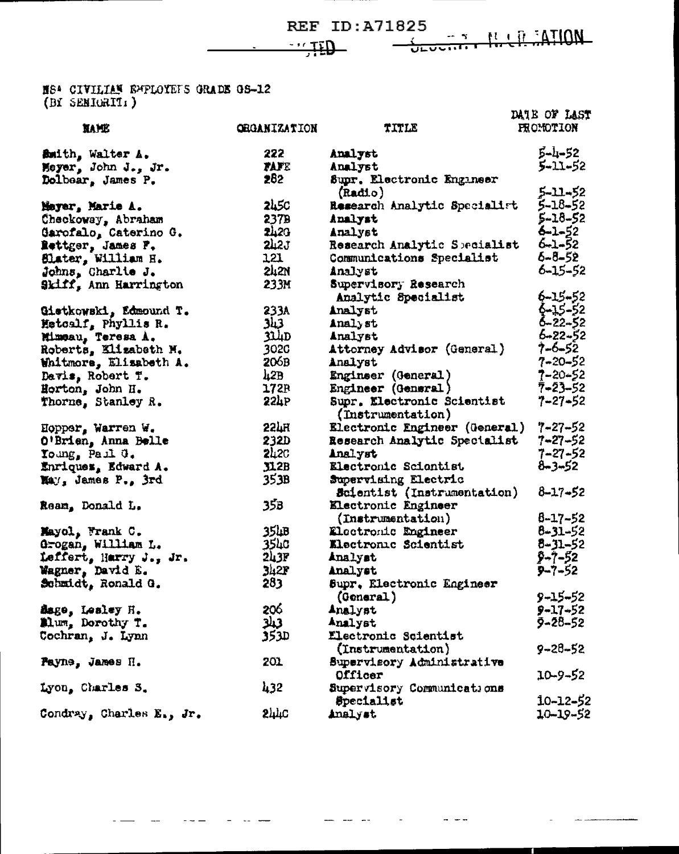$-171$ 

 $\frac{1}{\sqrt{2}}$ 

 $-$ 

T.

ADITA: 11 LA PER

NS<sup>4</sup> CIVILIAN EMPLOYEES GRADE GS-12<br>(BY SENIGRIT:)

|                          |                     |                               | DATE OF LAST     |
|--------------------------|---------------------|-------------------------------|------------------|
| <b>NAME</b>              | <b>ORGANIZATION</b> | TITLE                         | <b>FRONOTION</b> |
| Bmith, Walter A.         | 222                 | Analyst                       | $5 - 1 - 52$     |
| Meyer, John J., Jr.      | <b>TAFE</b>         | Analyst                       | $5 - 11 - 52$    |
| Dolbear, James P.        | 282                 | Supr. Electronic Engineer     |                  |
|                          |                     | (Radd.o)                      | 5-11-52          |
| Meyer, Marie A.          | <b>2450</b>         | Research Analytic Specialist  | 5-18-52          |
| Checkoway, Abraham       | 2378                | Analyst                       | 5-18-52          |
| Garofalo, Caterino G.    | 2420                | Analyst                       | $6 - 1 - 52$     |
| Rettger, James F.        | 2h2J                | Research Analytic Specialist  | $6 - 1 - 52$     |
| Slater, William H.       | 121                 | Communications Specialist     | 6-8-52           |
| Johns, Charlie J.        | 2421                | Analyst                       | 6-15-52          |
| Skiff, Ann Harrington    | 233M                | Supervisory Research          |                  |
|                          |                     | Analytic Specialist           | $6 - 15 - 52$    |
| Gietkowski, Edmound T.   | 233A                | Analyst                       | \$~15~52         |
| Hetoalf, Phyllis R.      | 343                 | Analyst                       | 6-22-52          |
| Mimeau, Teresa A.        | 314D                | Analyst                       | 6-22-52          |
| Roberts, Elizabeth M.    | 302C                | Attorney Advisor (General)    | 7-6-52           |
| Whitmore, Elizabeth A.   | 206B                | Analyst                       | $7 - 20 - 52$    |
| Davis, Robert T.         | 42B                 | Engineer (General)            | 7-20-52          |
| Horton, John H.          | 172P                | Engineer (General)            | $7 - 23 - 52$    |
| Thorne, Stanley R.       | 224P                | Supr. Electronic Scientist    | 7-27-52          |
|                          |                     | (Instrumentation)             |                  |
| Hopper, Warren W.        | 224H                | Electronic Engineer (General) | 7-27-52          |
| O'Brien, Anna Belle      | 232D                | Research Analytic Specialist  | 7-27-52          |
| Young, Paul O.           | <b>2420</b>         | Analyst                       | 7-27-52          |
| Enriques, Edward A.      | JLB                 | Electronic Scientist          | 8-3-52           |
| May, James P., 3rd       | 353B                | Supervising Electric          |                  |
|                          |                     | Scientist (Instrumentation)   | $8 - 17 - 52$    |
| Ream, Donald L.          | 35B                 | Electronic Engineer           |                  |
|                          |                     | (Instrumentation)             | $8 - 17 - 52$    |
| Mayol, Frank C.          | 35 <sub>4</sub> B   | Electronic Engineer           | $8 - 31 - 52$    |
| Grogan, William L.       | <b>3540</b>         | Electronic Scientist          | $8 - 31 - 52$    |
| Leffert, Harry J., Jr.   | 243F                | Analyst                       | $9 - 7 - 52$     |
| Wagner, David E.         | 342F                | Analyst                       | $9 - 7 - 52$     |
| Schmidt, Ronald G.       | 283                 | Supr. Electronic Engineer     |                  |
|                          |                     | (General)                     | 9-15-52          |
| Sage, Lealey H.          | 206                 | Analyst                       | 9-17-52          |
| Mlum, Dorothy T.         | 3نىڭ                | Analyst                       | 9-28-52          |
| Cochran, J. Lynn         | 353D                | <b>Electronic Scientist</b>   |                  |
|                          |                     | (Instrumentation)             | $9 - 28 - 52$    |
| Payne, James H.          | 201                 | Supervisory Administrative    |                  |
|                          |                     | Officer                       | 10-9-52          |
| Lyon, Charles S.         | 432                 | Supervisory Communications    |                  |
|                          |                     | <b>Specialist</b>             | $10 - 12 - 52$   |
| Condray, Charles E., Jr. | 244C                | Analyst                       | $10 - 19 - 52$   |
|                          |                     |                               |                  |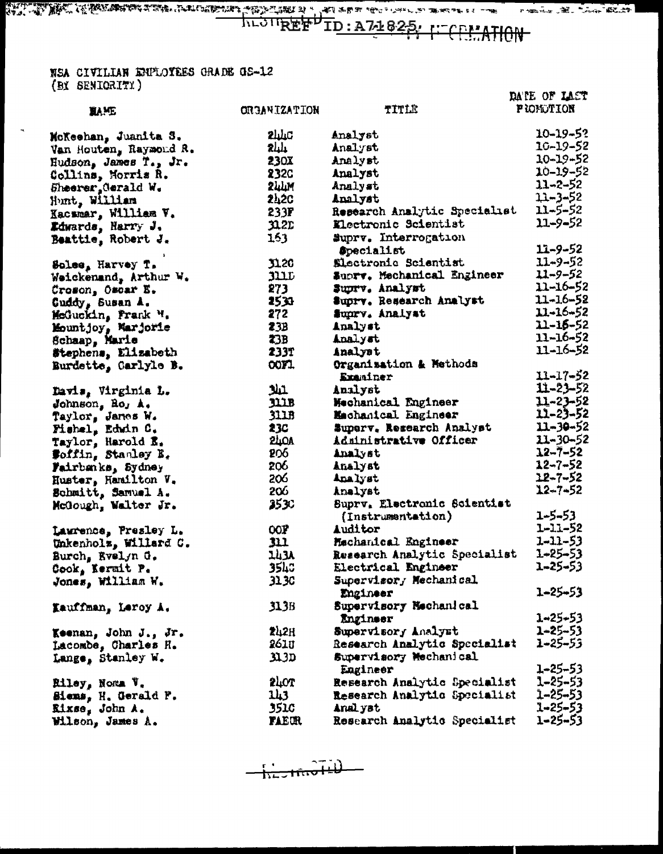#### NSA CIVILIAN ENPLOYEES GRADE OS-12 (BY SENIORITY)

 $\mathbf{a}$ 

|                           |                     |                                    | DATE OF LAST     |
|---------------------------|---------------------|------------------------------------|------------------|
| <b>MY E</b>               | <b>HOITRAIFMERD</b> | TITLE                              | <b>FIONOTION</b> |
| McKeehan, Juanita S.      | <b>SHTC</b>         | Analyst                            | $10 - 19 - 52$   |
| Van Houten, Raymond R.    | <b>244</b>          | Analyst                            | 10-19-52         |
| Hudson, James T., Jr.     | <b>230X</b>         | Analyst                            | $10 - 19 - 52$   |
| Collins, Morris R.        | 232C                | Analyst                            | 10-19-52         |
| Sheerer, Gerald W.        | 244M                | Analyst                            | $11 - 2 - 52$    |
| Hunt, William             | 242C                | Analyst                            | $11 - 3 - 52$    |
| Kacsmar, William V.       | 233F                | Research Analytic Specialist       | 11-5-52          |
| Edwards, Harry J.         | $\mathfrak{A}$ 2D   | Electronic Scientist               | $11 - 9 - 52$    |
| Beattie, Robert J.        | 163                 | Suprv. Interrogation               |                  |
|                           |                     | <b>Specialist</b>                  | $11 - 9 - 52$    |
| Solee, Harvey T.          | <b>J120</b>         | Electronic Scientist               | $11 - 9 - 52$    |
| Weickenand, Arthur W.     | 311L                | Supry. Mechanical Engineer         | 11-9-52          |
| Croson, Oscar E.          | 273                 | Suprv. Analyst                     | 11–16–52         |
| Guddy, Susan A.           | 2533                | Suprv. Research Analyst            | 11-16-52         |
| McGuckin, Frank H.        | 272                 | Suprv. Analyst                     | 11-16-52         |
| Mountjoy, Marjorie        | 23B                 | Analyst                            | 11-16-52         |
| Schaap, Marie             | 23B                 | Analyst                            | 11-16-52         |
| Stephens, Elizabeth       | 233T                | Analyst                            | 11-16-52         |
| Burdette, Carlyle B.      | OOFT.               | Organisation & Methods<br>Exaniner | 11-17-52         |
|                           | لملا                | Analyst                            | 11-23-52         |
| Davis, Virginia L.        | JUB                 | Mechanical Engineer                | 11-23-52         |
| Johnson, Ro, A.           | 311B                | Machanical Engineer                | $11 - 23 - 52$   |
| Taylor, James W.          | 23C                 | Superv. Research Analyst           | $11 - 30 - 52$   |
| Fishel, Edwin C.          | <b>240A</b>         | Administrative Officer             | $11 - 30 - 52$   |
| Taylor, Harold E.         | 206                 | Analyst                            | 12-7-52          |
| <b>Soffin, Stanley E.</b> | 206                 | Analyst                            | $12 - 7 - 52$    |
| Fairbanks, Sydney         | 206                 | Analyst                            | 12-7-52          |
| Huster, Hamilton V.       | 206                 | Analyst                            | $12 - 7 - 52$    |
| Schmitt, Samuel A.        | 25 IC               | Suprv. Electronic Scientist        |                  |
| McGough, Walter Jr.       |                     | (Instrumentation)                  | 1-5-53           |
| Laurence, Presley L.      | OOF                 | <b>Auditor</b>                     | $1 - 11 - 52$    |
| Unkenholz, Willard C.     | m                   | Mechanical Engineer                | 1-11-53          |
| Burch, Evelyn G.          | 143A                | Research Analytic Specialist       | $1 - 25 - 53$    |
| Cook, Kermit P.           | 3540                | Electrical Engineer                | $1 - 25 - 53$    |
| Jones, William W.         | 31.3C               | Supervisor, Mechanical             |                  |
|                           |                     | Engineer                           | 1-25-53          |
| Kauffman, Leroy A.        | 313B                | Supervisory Mechanical             |                  |
|                           |                     | Engineer                           | $1 - 25 - 53$    |
| Keenan, John J., Jr.      | 242H                | Supervisory Analyst                | 1-25-53          |
| Lacombe, Charles H.       | 261 U               | Research Analytic Specialist       | 1-25-53          |
| Lange, Stanley W.         | 31.3D               | Supervisory Mechanical<br>Engineer | $1 - 25 - 53$    |
| Riley, Noma V.            | <b>STOL</b>         | Research Analytic Specialist       | 1-25-53          |
| Siems, H. Gerald P.       | 143 .               | Research Analytic Specialist       | 1-25-53          |
| Kixse, John A.            | 351c                | Analyst                            | $1 - 25 - 53$    |
| Wilson, James A.          | <b>FAECR</b>        | Research Analytic Specialist       | 1-25-53          |
|                           |                     |                                    |                  |

 $\frac{1}{1127160140}$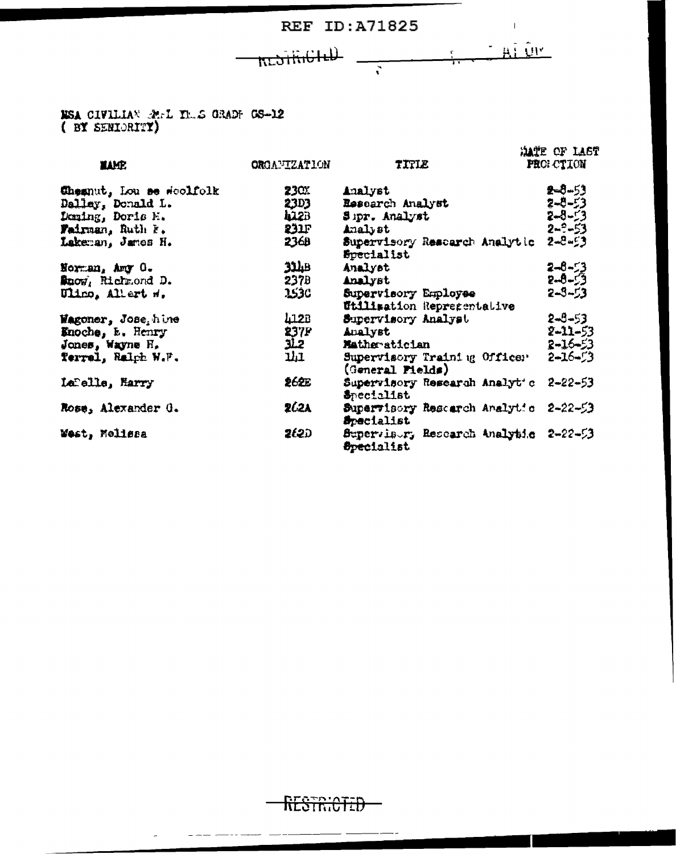**REF ID:A71825** 

 $\frac{1}{\sqrt{2}}$   $\frac{1}{\sqrt{2}}$   $\frac{1}{\sqrt{2}}$   $\frac{1}{\sqrt{2}}$   $\frac{1}{\sqrt{2}}$   $\frac{1}{\sqrt{2}}$ 

**KLOTHIGILL** 

NSA CIVILIAN REL THE GRADE GS-12

| <b>TAME</b>             | <b>ORGANIZATION</b> | TITLE                                                      | <b>MATE OF LAST</b><br>PROI CTION |
|-------------------------|---------------------|------------------------------------------------------------|-----------------------------------|
| Chemut, Lou se scolfolk | 23CX                | Analyst                                                    | 2-8-53                            |
| Dallay, Donald L.       | 23D3                | Resoarch Analyst                                           | 2-8-53                            |
| Deming, Doris E.        | <b>422B</b>         | Sipr. Analyst                                              | $2 - 8 - 53$                      |
| Fairman, Ruth F.        | 231                 | Analyst                                                    | $2 - ? - 53$                      |
| Lakeman, Jamos H.       | 2360                | Supervisory Rescarch Analytic<br><b>Specialist</b>         | $2 - 8 - 53$                      |
| Norman, Amy O.          | اظلاق               | Analyst                                                    | $2 - 8 - 53$                      |
| Maow, Richmond D.       | 237B                | <b>Analyst</b>                                             | $2 - 6 - 53$                      |
| Ulino, Allert W.        | 2530                | Supervisory Employee<br>Utilisation Representative         | $2 - 3 - 53$                      |
| Wagoner, Jose, hine     | 4128                | Supervisory Analyst                                        | $2 - 5 - 53$                      |
| Enoche, E. Henry        |                     | <b>Analyst</b>                                             | $2 - 11 - 53$                     |
| Jones, Wayne H.         | 237P<br>JL2         | Matheratician                                              | $2 - 16 - 53$                     |
| Terrel, Ralph W.F.      | <b>נור</b>          | Supervisory Training Officer<br>(General Pields)           | $2 - 16 - 3$                      |
| Lebelle, Harry          | 262E                | Supervisory Research Analyt's<br><b>S</b> pecialist        | $2 - 22 - 53$                     |
| Rose, Alexander G.      | 262A                | Supervisory Rescarch Analytic<br>Specialist                | $2 - 22 - 53$                     |
| West, Melissa           | 262D                | Supervisor, Research Analytic 2-22-53<br><b>Specialist</b> |                                   |

RESTRICTED

المستحدث المستحدث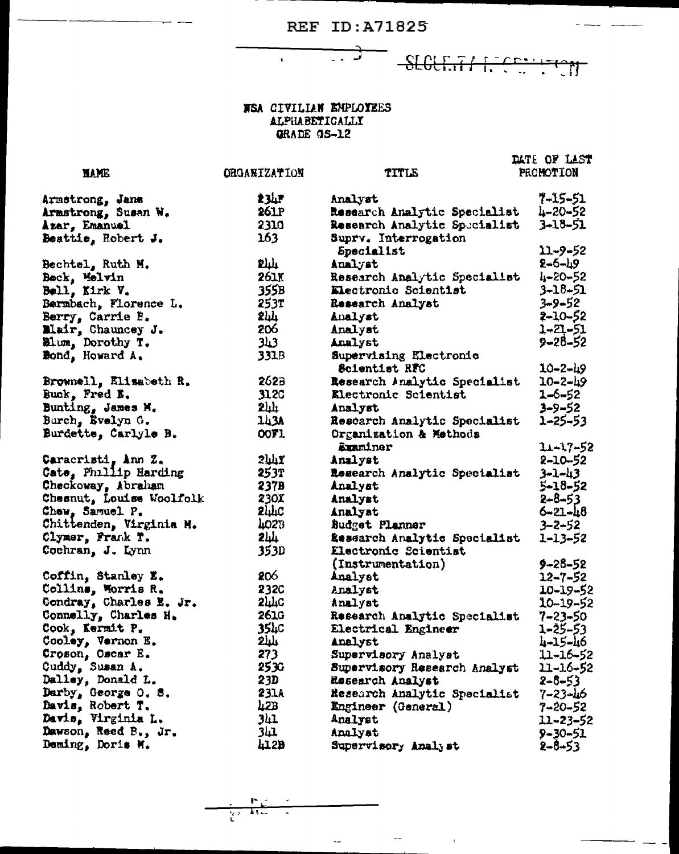$\overrightarrow{a}$ 

SLOCKIT RECEIVED

### WEA CIVILIAN ENPLOYEES ALPHABETICALLY<br>GRADE GS-12

 $\mathbf{r}$ 

|                          |                     |                                    | DATE OF LAST   |
|--------------------------|---------------------|------------------------------------|----------------|
| <b>MAME</b>              | <b>ORGANIZATION</b> | TITLE                              | PROMOTION      |
|                          |                     |                                    |                |
| Armstrong, Jane          | 234F                | Analyst                            | 7-15-51        |
| Armstrong, Susan W.      | 261P                | Research Analytic Specialist       | $4 - 20 - 52$  |
| Azar, Emanuel            | 2310                | Research Analytic Specialist       | $3 - 18 - 51$  |
| Beattie, Robert J.       | 163                 | Suprv. Interrogation<br>Specialist | 11-9-52        |
| Bechtel, Ruth M.         | <b>Phili</b>        | Analyst                            | $2 - 6 - 19$   |
| Beck, Melvin             | 261K                | Research Analytic Specialist       | 4-20-52        |
| Bell, Kirk V.            | 355B                | Electronic Scientist               | $3 - 18 - 51$  |
| Bermbach, Florence L.    | 253T                | Research Analyst                   | 3-9-52         |
| Berry, Carrie B.         | <b>244</b>          | Analyst                            | 2-10-52        |
| Mair, Chauncey J.        | 206                 | Analyst                            | 1-21-51        |
| Blum, Dorothy T.         | <b>343</b>          | Analyst                            | 9-28-52        |
| Bond, Howard A.          | 331B                | Supervising Electronic             |                |
|                          |                     | Scientist RFC                      | $10 - 2 - 49$  |
| Brownell, Elisabeth R.   | 2623                | Research Analytic Specialist       | $10 - 2 - 49$  |
| Buck, Fred E.            | <b>312C</b>         | Electronic Scientist               | 1-6-52         |
| Bunting, James M.        | $2\mu$              | Analyst                            | $3 - 9 - 52$   |
| Burch, Evelyn G.         | 143A                | Rescarch Analytic Specialist       | 1-25-53        |
| Burdette, Carlyle B.     | OOF1                | Organization & Methods             |                |
|                          |                     | Examiner                           | 11-17-52       |
| Caracristi, Ann Z.       | $2$ uli $\chi$      | Analyst                            | 2-10-52        |
| Cate, Phillip Harding    | 253T                | Research Analytic Specialist       | $3 - 1 - 43$   |
| Checkoway, Abraham       | 237B                | Analyst                            | 5-18-52        |
| Chesnut, Louise Woolfolk | 230X                | Analyst                            | $2 - 8 - 53$   |
| Chew, Samuel P.          | <b>244C</b>         | Analyst                            | $6 - 21 - 48$  |
| Chittenden, Virginia M.  | 4023                | Budget Planner                     | 3-2-52         |
| Clymer, Frank T.         | 244                 | Research Analytic Specialist       | 1-13-52        |
| Cochran, J. Lynn         | 353D                | Electronic Scientist               |                |
|                          |                     | (Instrumentation)                  | 9-28-52        |
| Coffin, Stanley E.       | 206                 | Analyst                            | $12 - 7 - 52$  |
| Collins, Morris R.       | 232C                | Analyst                            | $10 - 19 - 52$ |
| Condray, Charles E. Jr.  | <b>2440</b>         | Analyst                            | $10 - 19 - 52$ |
| Connelly, Charles H.     | <b>261G</b>         | Research Analytic Specialist       | $7 - 23 - 50$  |
| Cook, Kermit P.          | 354c                | Electrical Engineer                | $1 - 25 - 53$  |
| Cooley, Vernon E.        | ىلىك                | Analyst                            | 4-15-46        |
| Croson, Oscar E.         | 273                 | Supervisory Analyst                | 11-16-52       |
| Cuddy, Susan A.          | 253G                | Supervisory Research Analyst       | 11-16-52       |
| Dalley, Donald L.        | 23D                 | Research Analyst                   | $2 - 8 - 53$   |
| Darby, George O. S.      | 231A                | Research Analytic Specialist       | 7-23-46        |
| Davis, Robert T.         | 423                 | Engineer (General)                 | $7 - 20 - 52$  |
| Davis, Virginia L.       | 341                 | Analyst                            | 11-23-52       |
| Dawson, Reed B., Jr.     |                     | Analyst                            | $9 - 30 - 51$  |
| Deming, Doris M.         | 41.2B               | Supervisory Analyst                | 2-8-53         |

 $\frac{1}{k}$ L,

 $\sim 10^{11}$  m  $^{-1}$ 

 $\overline{\phantom{a}}$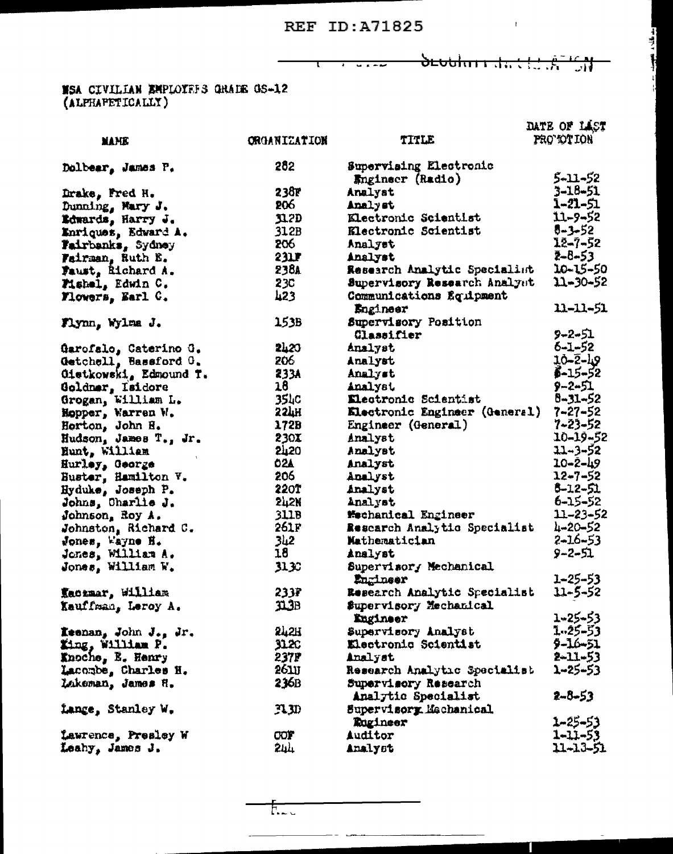**Maria Albohni da Caran** 

 $\mathcal{L}^{\text{max}}_{\text{max}}$  and  $\mathcal{L}^{\text{max}}_{\text{max}}$ 

جد فایل د ک<del>روس</del>

### **MSA CIVILIAN EMPLOYEES GRAIE GS-12**<br>(ALPRAPETICALLY)

|                             |                     |                                               | DATE OF LAST      |
|-----------------------------|---------------------|-----------------------------------------------|-------------------|
| MANIE                       | <b>ORGANIZATION</b> | TITLE                                         | <b>PRO TOTION</b> |
| Dolbear, James P.           | 282                 | Supervising Electronic                        |                   |
|                             |                     | Engineer (Radio)                              | 5-11-52           |
| Drake, Fred H.              | 238F                | Analyst                                       | 3-18-51           |
| Dunning, Mary J.            | 206                 | Analyst                                       | 1-21-51           |
| Edwards, Harry J.           | J1.2D               | Klectronic Scientist                          | 11-9-52           |
| Enriquez, Edward A.         | 312B                | Klectronic Scientist                          | 5-3-52            |
| Fairbanks, Sydney           | 206                 | Analyst                                       | 12-7-52           |
| Fairman, Ruth E.            | 231F                | Analyst                                       | 2-8-53            |
| Faust, Richard A.           | 238a                | Research Analytic Specialist                  | 10-15-50          |
| Fishel, Edwin C.            | 23C                 | Supervisory Research Analyst                  | 11-30-52          |
| Flowers, Earl C.            | $\mu$ 23            | Communications Equipment<br>Engineer          | 11-11-51          |
| Flynn, Wylma J.             | 153B                | Supervisory Position                          |                   |
|                             |                     | Classifier                                    | 9-2-51            |
| Garofalo, Caterino G.       | 2420                | Analyst                                       | 6-1-52            |
| Getchell, Bassford G.       | 206                 | Analyst                                       | 10-2-49           |
| Oietkowski, Edmound T.      | 233A                | Analyst                                       | $5 - 15 - 52$     |
| Goldmar, Isidore            | 18                  | Analyst                                       | $9 - 2 - 51$      |
| Grogan, William L.          | 354c                | Electronic Scientist                          | $8 - 31 - 52$     |
| Hopper, Warren W.           | <b>33TH</b>         | Electronic Engineer (General)                 | $7 - 27 - 52$     |
| Horton, John H.             | 172B                | Engineer (General)                            | $7 - 23 - 52$     |
| Hudson, James T., Jr.       | 230X                | Analyst                                       | 10-19-52          |
| Hunt, William               | <b>2420</b>         | Analyst                                       | $31 - 3 - 52$     |
| Hurley, George              | <b>O2A</b>          | Analyst                                       | $10 - 2 - 49$     |
| Huster, Hamilton V.         | 206                 | Analyst                                       | $12 - 7 - 52$     |
| Hyduke, Joseph P.           | <b>220T</b>         | Analyst                                       | 5-12-51           |
| Johns, Charlie J.           | 242N                | Analyst                                       | $6 - 15 - 52$     |
| Johnson <sub>a</sub> Roy A. | 311B                | <b>Mechanical Engineer</b>                    | 11-23-52          |
| Johnston, Richard C.        | 261F                | Research Analytic Specialist                  | $4 - 20 - 52$     |
| Jones, Wayne H.             | 2با3                | Mathematician                                 | $2 - 16 - 53$     |
| Jones, William A.           | 18                  | Analyst                                       | 9-2-51            |
| Jones, William W.           | J1 30               | Supervisory Mechanical<br>Engineer            | $1 - 25 - 53$     |
| Kaczmar, William            | 233F                | Research Analytic Specialist                  | 11-5-52           |
| Kauffman, Leroy A.          | 31.3B               | Supervisory Mechanical<br>Engineer            | $1 - 25 - 53$     |
| Keenan, John J., Jr.        | 242H                | Supervisory Analyst                           | 1.25-53           |
| King, William P.            | 31.XC               | Electronic Scientist                          | 9-16-51           |
| <b>Knoche, E. Henry</b>     | 237P                | Analyst                                       | $2 - 11 - 53$     |
| Lacombe, Charles H.         | 261U                | Research Analytic Specialist                  | 2-25-53           |
| Lakeman, James H.           | 236B                | Supervisory Research                          | 2-8-53            |
| Lange, Stanley W.           | AW                  | Analytic Specialist<br>Supervisory Mechanical |                   |
|                             |                     | Rugineer                                      | 1-25-53           |
| Lawrence, Presley W         | <b>COF</b>          | Auditor                                       | 1-11-53           |
| Leahy, James J.             | 244                 | Analyst                                       | 11-13-51          |

-- **---**

T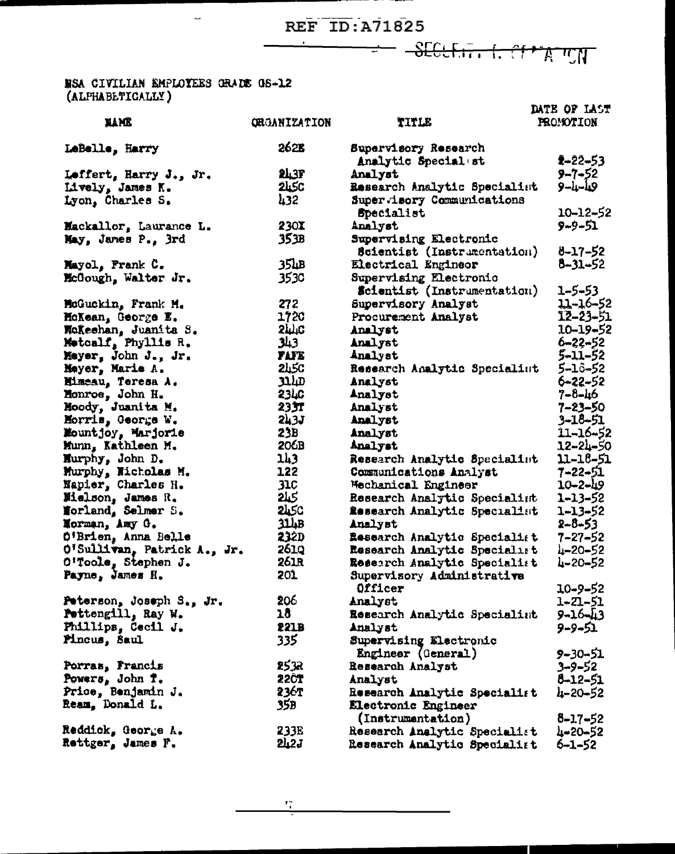SECULITY LOTTATION

#### NSA CIVILIAN EMPLOYEES GRADE 05-12 (ALPHABETICALLY)

 $\overline{\phantom{a}}$ 

| <b>MAME</b>                          | <b>QRGANIZATION</b> | TITLE                                        | DATE OF LAST<br>PROMOTION     |
|--------------------------------------|---------------------|----------------------------------------------|-------------------------------|
|                                      | 262B                |                                              |                               |
| LeBelle, Harry                       |                     | Supervisory Research                         | $2 - 22 - 53$                 |
|                                      | <b>243F</b>         | Analytic Special st<br>Analyst               | $9 - 7 - 52$                  |
| Leffert, Harry J., Jr.               | <b>245C</b>         | Research Analytic Specialist                 | $9 - 1 - 10$                  |
| Lively, James K.<br>Lyon, Charles S. | 432                 | Supervisory Communications                   |                               |
|                                      |                     | Specialist                                   | 10-12-52                      |
| Mackallor, Laurance L.               | 230X                | Analyst                                      | $9 - 9 - 51$                  |
| May, James P., 3rd                   | 353B                | Supervising Electronic                       |                               |
|                                      |                     | Scientist (Instrumentation)                  | 8-17-52                       |
| Mayol, Frank C.                      | 35 <sub>th</sub> B  | Electrical Engineer                          | 8-31-52                       |
| McGough, Walter Jr.                  | 3530                | Supervising Electronic                       |                               |
|                                      |                     | <b>Scientist</b> (Instrumentation)           | 1-5-53                        |
| McGuckin, Frank M.                   | 272                 | Supervisory Analyst                          | 11-16-52                      |
| MoXean, George E.                    | 1720                | Procurement Analyst                          | 12-23-51                      |
| Woleehan, Juanita S.                 | <b>SMC</b>          | Analyst                                      | $10 - 19 - 52$                |
| Motoalf, Phyllis R.                  | 343                 | Analyst                                      | $6 - 22 - 52$                 |
| Mayer, John J., Jr.                  | <b>FAFE</b>         | Analyst                                      | 5-11-52                       |
| Meyer, Marie A.                      | <b>2450</b>         | Research Analytic Specialist                 | 5-16-52                       |
| Mimeau, Teresa A.                    | سلند                | Analyst                                      | 6-22-52                       |
| Honroe, John H.                      | <b>2340</b>         | Analyst                                      | 7-8-46                        |
| Moody, Juanita M.                    | 2337                | Analyst                                      | 7-23-50                       |
| Horris, George W.                    | 5732                | Analyst                                      | 3-18-51                       |
| Mountjoy, Marjorie                   | 23B                 | Analyst                                      | 11-16-52                      |
| Munn, Kathleen M.                    | 206B                | Analyst                                      | 12-24-50                      |
| Hurphy, John D.                      | 143                 | Research Analytic Specialist                 | $11 - 18 - 51$                |
| Murphy, Nicholas M.                  | 122                 | Communications Analyst                       | 7-22-51                       |
| Napier, Charles H.                   | <b>31C</b>          | Mechanical Engineer                          | $10 - 2 - 49$                 |
| Mielson, James R.                    | <b>245</b>          | Research Analytic Specialint                 | 1-13-52                       |
| Norland, Selmer S.                   | <b>2450</b>         | Research Analytic Specialist                 | $1 - 13 - 52$                 |
| Morman, Amy G.                       | 314B                | Analyst                                      | 2-8-53                        |
| O'Brien, Anna Belle                  | 232D                | <b>Research Analytic Specialist</b>          | $7 - 27 - 52$                 |
| O'Sullivan, Patrick A., Jr.          | 261.0               | Research Analytic Specialist                 | $4 - 20 - 52$                 |
| O'Toole, Stephen J.                  | <b>261R</b>         | Research Analytic Specialist                 | 4-20-52                       |
| Payne, James H.                      | 201                 | Supervisory Administrative                   |                               |
|                                      | 206                 | Officer                                      | $10 - 9 - 52$                 |
| Peterson, Joseph S., Jr.             | 18                  | Analyst                                      | 1-21-51                       |
| Pettengill, Ray W.                   | 221B                | Research Analytic Specialist                 | $9 - 16 - 13$<br>$9 - 9 - 51$ |
| Phillips, Cecil J.<br>Pincus, Saul   | 335                 | Analyst                                      |                               |
|                                      |                     | Supervising Electronic<br>Engineer (General) | 9-30-51                       |
| Porras, Francis                      | 2532                | Research Analyst                             | $3 - 9 - 52$                  |
| Powers, John T.                      | <b>22CT</b>         | Analyst                                      | 8-12-51                       |
| Price, Benjamin J.                   | 236T                | Research Analytic Specialist                 | 4-20-52                       |
| Ream. Donald L.                      | 35B                 | Electronic Engineer                          |                               |
|                                      |                     | (Instrumentation)                            | $8 - 17 - 52$                 |
| Reddick, George A.                   | 233E                | Research Analytic Specialist                 | 4-20-52                       |
| Rettger, James F.                    | <b>242J</b>         | Research Analytic Specialist                 | $6 - 1 - 52$                  |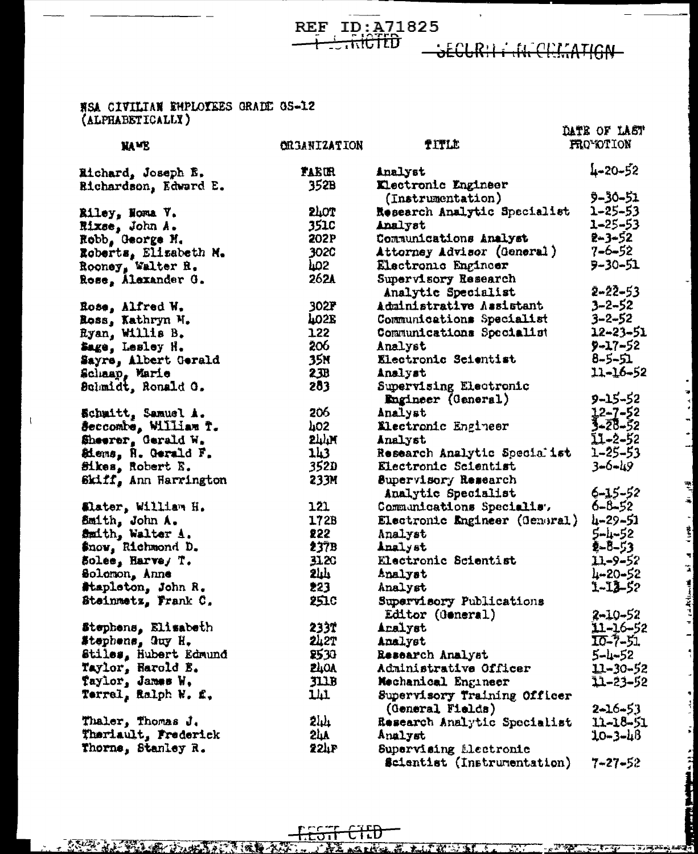REF ID:  $\frac{\lambda}{21825}$ 

SECURII I IN CELTATION

 $\frac{1}{2}$ 

۰|

ા તા. જેવામ મુખ્ય સ્થાન હોય પર વાડાની કરવા મુખ્ય મુખ્ય મુખ્ય સુધી અને પ્રાપ્ત મુખ્ય મુખ્ય મુખ્ય મુખ્ય મુખ્ય મુખ્

## NSA CIVILIAN EMPLOYEES GRADE OS-12<br>(ALPHABETICALLY)

 $\mathbf{I}$ 

| A START AND POP TO BE ALLEN A |               |                                                  | DATE OF LAST   |
|-------------------------------|---------------|--------------------------------------------------|----------------|
| <b>NAME</b>                   | CELEBRITATION | TITLE                                            | FRO*OTION      |
| Eichard, Joseph E.            | <b>TAEUR</b>  | Analyst                                          | 4-20-52        |
| <b>Richardson, Edward E.</b>  | 352B          | <b>Klectronic Engineer</b>                       |                |
|                               |               | (Instrumentation)                                | 9-30-51        |
| Riley, Noma V.                | <b>240T</b>   | Research Analytic Specialist                     | 1-25-53        |
| Rixse, John A.                | <b>351C</b>   | Analyst                                          | 1-25-53        |
| Robb, George M.               | 202P          | Communications Analyst                           | $2 - 3 - 52$   |
| Roberts, Elizabeth M.         | 3020          | Attorney Advisor (General)                       | $7 - 6 - 52$   |
| Rooney, Walter R.             | hos.          | Electronic Engineer                              | 9-30-51        |
| Rose, Alexander G.            | 262A          | Supervisory Research                             | $2 - 22 - 53$  |
|                               |               | Analytic Specialist                              |                |
| Rose, Alfred W.               | 302F          | Administrative Assistant                         | $3 - 2 - 52$   |
| Ross, Kathryn M.              | <b>402E</b>   | Communications Specialist                        | $3 - 2 - 52$   |
| Eyan, Willis B.               | 122           | Communications Specialist                        | $12 - 23 - 51$ |
| Sage, Lesley H.               | 206           | Analyst                                          | 9-17-52        |
| Sayre, Albert Gerald          | 35N           | Electronic Scientist                             | 8-5-51         |
| Schaap, Marie                 | 23B           | Analyst                                          | 11-16-52       |
| Bolmidt, Ronald O.            | 283           | Supervising Electronic                           |                |
|                               |               | Engineer (General)                               | 9-15-52        |
| Echmitt, Samuel A.            | 206           | Analyst                                          | 12-7-52        |
| Seccombe, William T.          | hos           | <b>Electronic Engineer</b>                       | 3-28-52        |
| Sheerer, Gerald W.            | $577\%$       | Analyst                                          | 11-2-52        |
| Siems, R. Gerald F.           | 143           | Research Analytic Specialist                     | 1–25–53        |
| Sikes, Robert E.              | 352D          | Electronic Scientist                             | $3 - 6 - 49$   |
| Skiff, Ann Harrington         | 233M          | Supervisory Research<br>Analytic Specialist      | $6 - 15 - 52$  |
| Elater, William H.            | 121           | Communications Specialis.                        | $6 - 8 - 52$   |
| Smith, John A.                | 172B          | Electronic Engineer (General)                    | 4-29-51        |
| Smith, Walter A.              | 855           | Analyst                                          | 5-4-52         |
| Snow, Richmond D.             | 237B          | Analyst                                          | 2-8-53         |
| Solee, Harve, T.              | 3120          | Electronic Scientist                             | 11–9–52        |
| Solomon, Anne                 | ىلىلا         | Analyst                                          | 4-20-52        |
| #tapleton, John R.            | 223           | Analyst                                          | 1-13-52        |
| Steinmetz, Frank C.           | 251C          | Supervisory Publications                         |                |
|                               |               | Editor (General)                                 | $2 - 10 - 52$  |
| Stephens, Elisabeth           | 233T          | Aralyst                                          | 11-16-52       |
| Stephens, Guy H.              | 242T          | Analyst                                          | 10-7-51        |
| Stiles, Hubert Edmund         | <b>2530</b>   | Research Analyst                                 | $5 - 1 - 52$   |
| Taylor, Harold E.             | <b>ZLIOA</b>  | Administrative Officer                           | $11 - 30 - 52$ |
| Taylor, James W.              | <b>JLLB</b>   | Mechanical Engineer                              | 11-23-52       |
| Terrel, Ralph W. f.,          | ЦЦ            | Supervisory Training Officer<br>(General Fields) | $2 - 16 - 53$  |
| Thaler, Thomas J.             | 244           | Research Analytic Specialist                     | 11-18-51       |
| Theriault, Frederick          | 24A           | Analyst                                          | 10-3-48        |
| Thorne, Stanley R.            | 224P          | Supervising Llectronic                           |                |

Scientist (Instrumentation) 7-27-52

ᡩᡏᡦᠣ